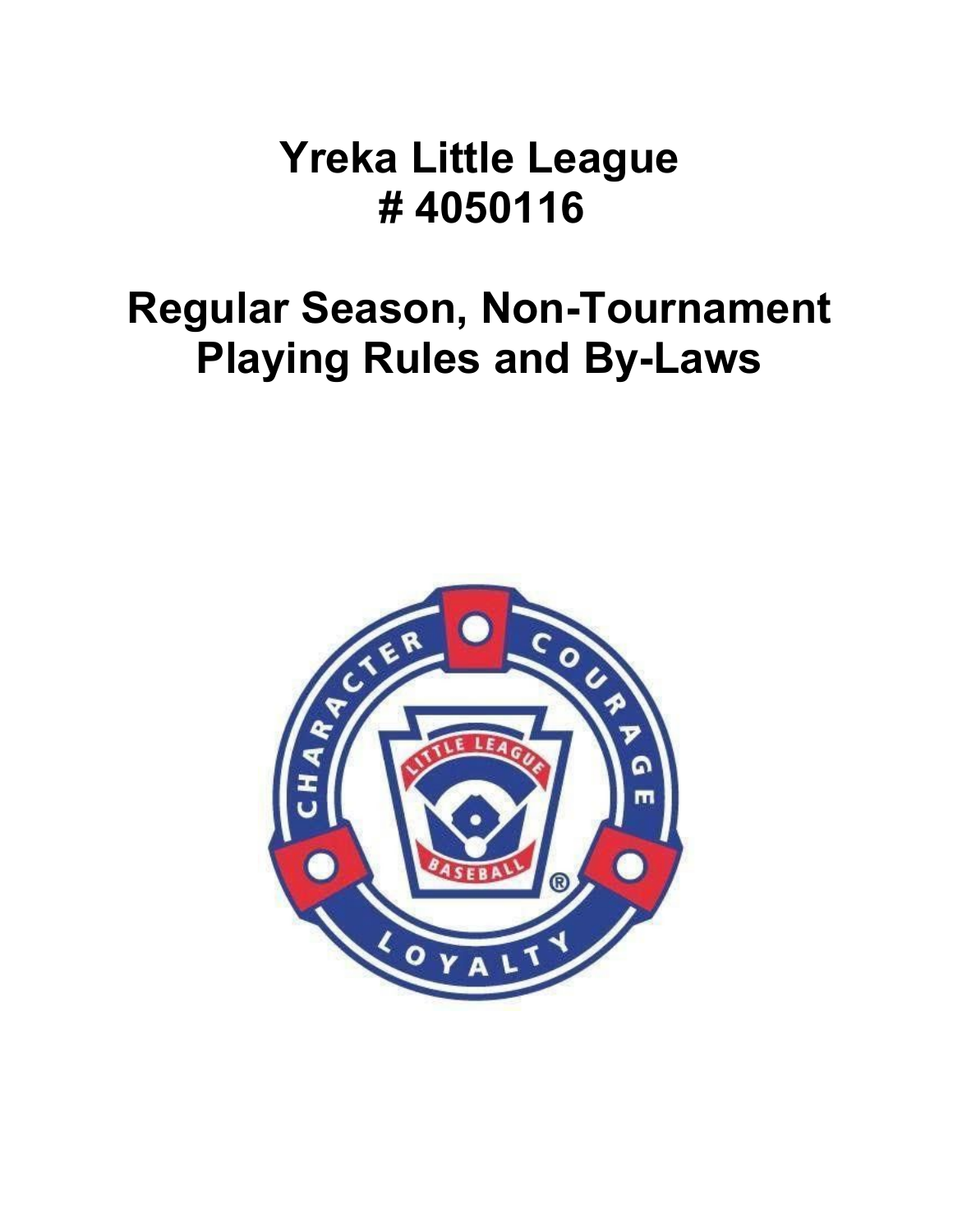# **Yreka Little League # 4050116**

# **Regular Season, Non-Tournament Playing Rules and By-Laws**

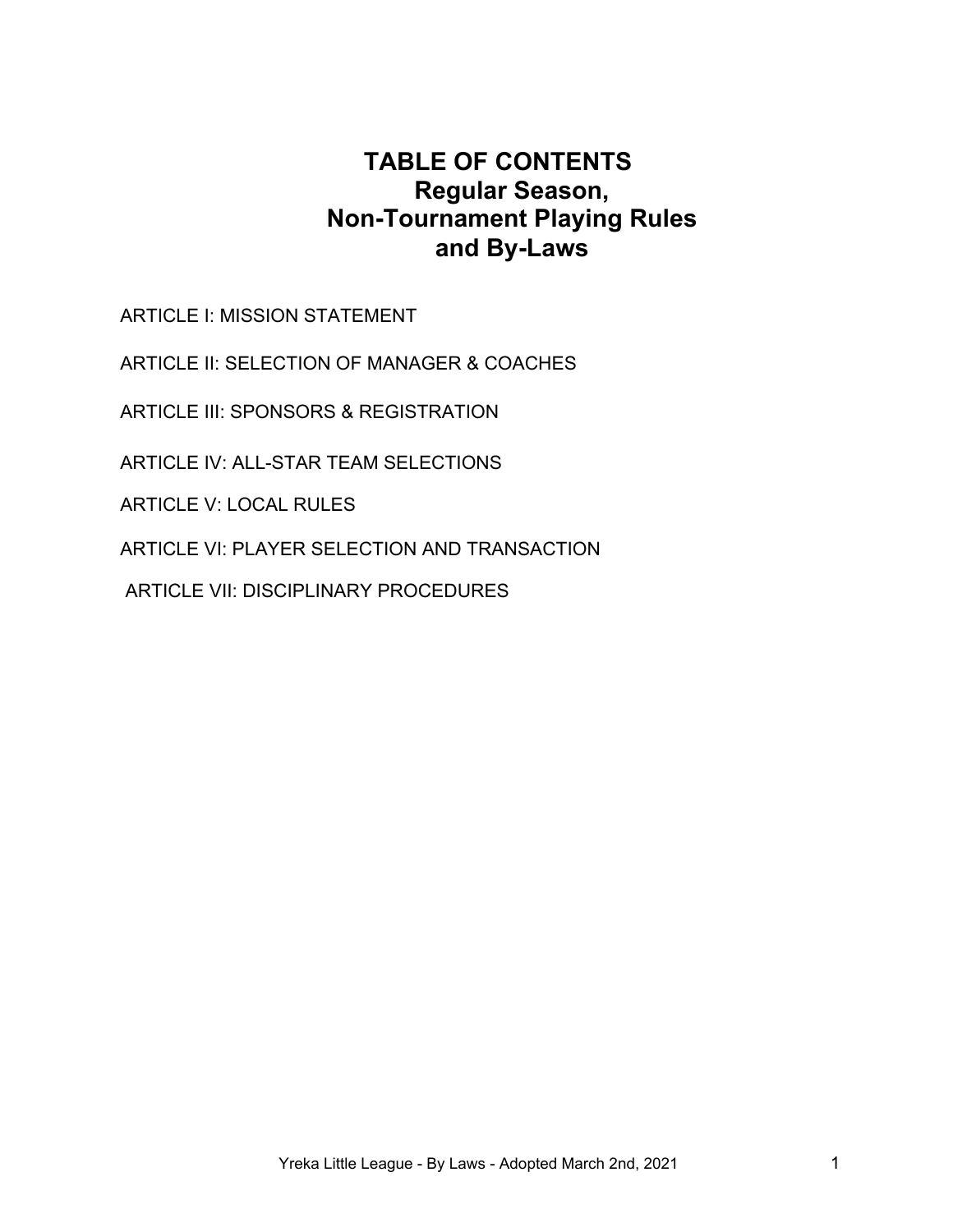# **TABLE OF CONTENTS Regular Season, Non-Tournament Playing Rules and By-Laws**

ARTICLE I: MISSION STATEMENT

ARTICLE II: SELECTION OF MANAGER & COACHES

ARTICLE III: SPONSORS & REGISTRATION

ARTICLE IV: ALL-STAR TEAM SELECTIONS

ARTICLE V: LOCAL RULES

ARTICLE VI: PLAYER SELECTION AND TRANSACTION

ARTICLE VII: DISCIPLINARY PROCEDURES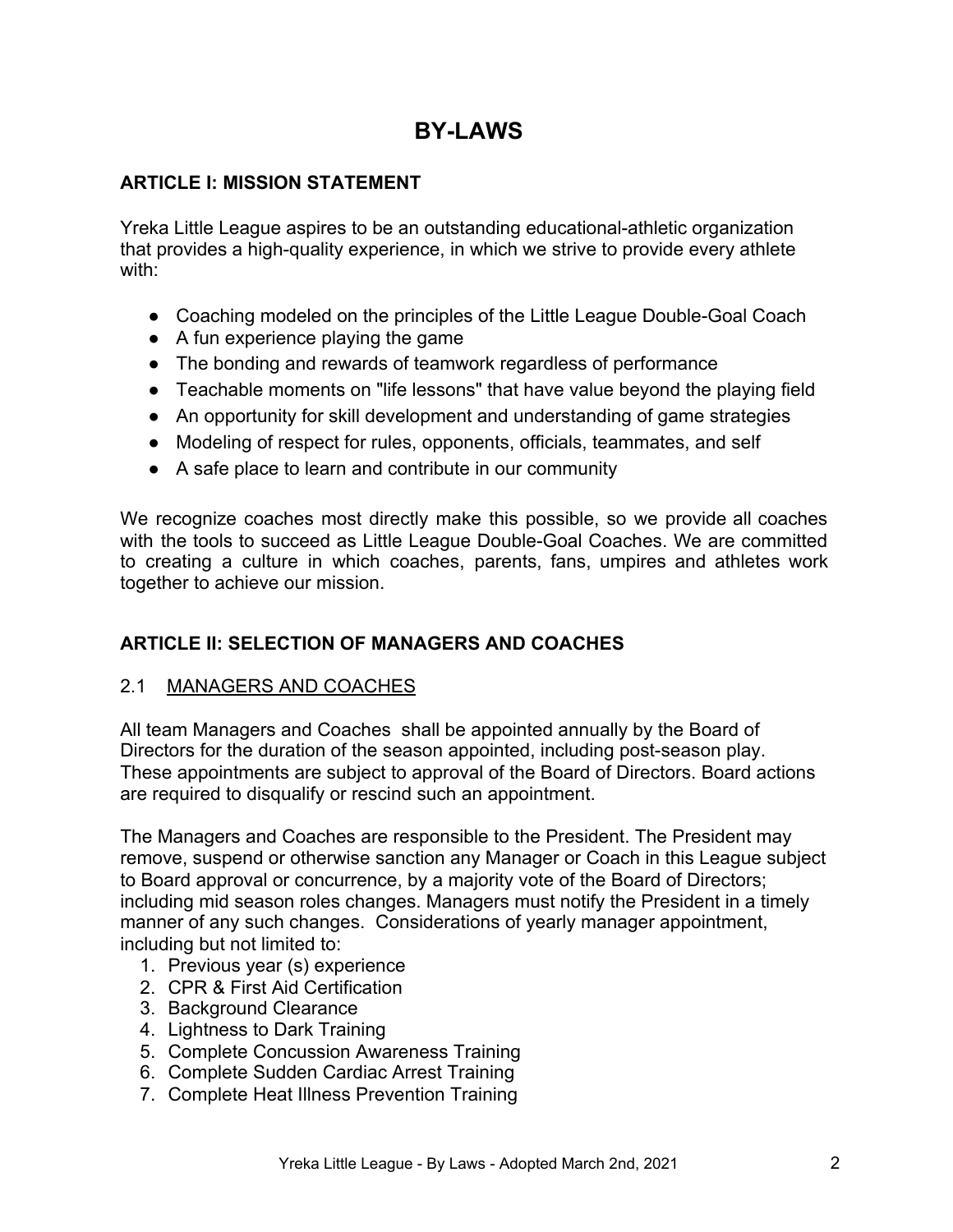# **BY-LAWS**

# **ARTICLE I: MISSION STATEMENT**

Yreka Little League aspires to be an outstanding educational-athletic organization that provides a high-quality experience, in which we strive to provide every athlete with:

- Coaching modeled on the principles of the Little League Double-Goal Coach
- A fun experience playing the game
- The bonding and rewards of teamwork regardless of performance
- Teachable moments on "life lessons" that have value beyond the playing field
- An opportunity for skill development and understanding of game strategies
- Modeling of respect for rules, opponents, officials, teammates, and self
- A safe place to learn and contribute in our community

We recognize coaches most directly make this possible, so we provide all coaches with the tools to succeed as Little League Double-Goal Coaches. We are committed to creating a culture in which coaches, parents, fans, umpires and athletes work together to achieve our mission.

# **ARTICLE II: SELECTION OF MANAGERS AND COACHES**

# 2.1 MANAGERS AND COACHES

All team Managers and Coaches shall be appointed annually by the Board of Directors for the duration of the season appointed, including post-season play. These appointments are subject to approval of the Board of Directors. Board actions are required to disqualify or rescind such an appointment.

The Managers and Coaches are responsible to the President. The President may remove, suspend or otherwise sanction any Manager or Coach in this League subject to Board approval or concurrence, by a majority vote of the Board of Directors; including mid season roles changes. Managers must notify the President in a timely manner of any such changes. Considerations of yearly manager appointment, including but not limited to:

- 1. Previous year (s) experience
- 2. CPR & First Aid Certification
- 3. Background Clearance
- 4. Lightness to Dark Training
- 5. Complete Concussion Awareness Training
- 6. Complete Sudden Cardiac Arrest Training
- 7. Complete Heat Illness Prevention Training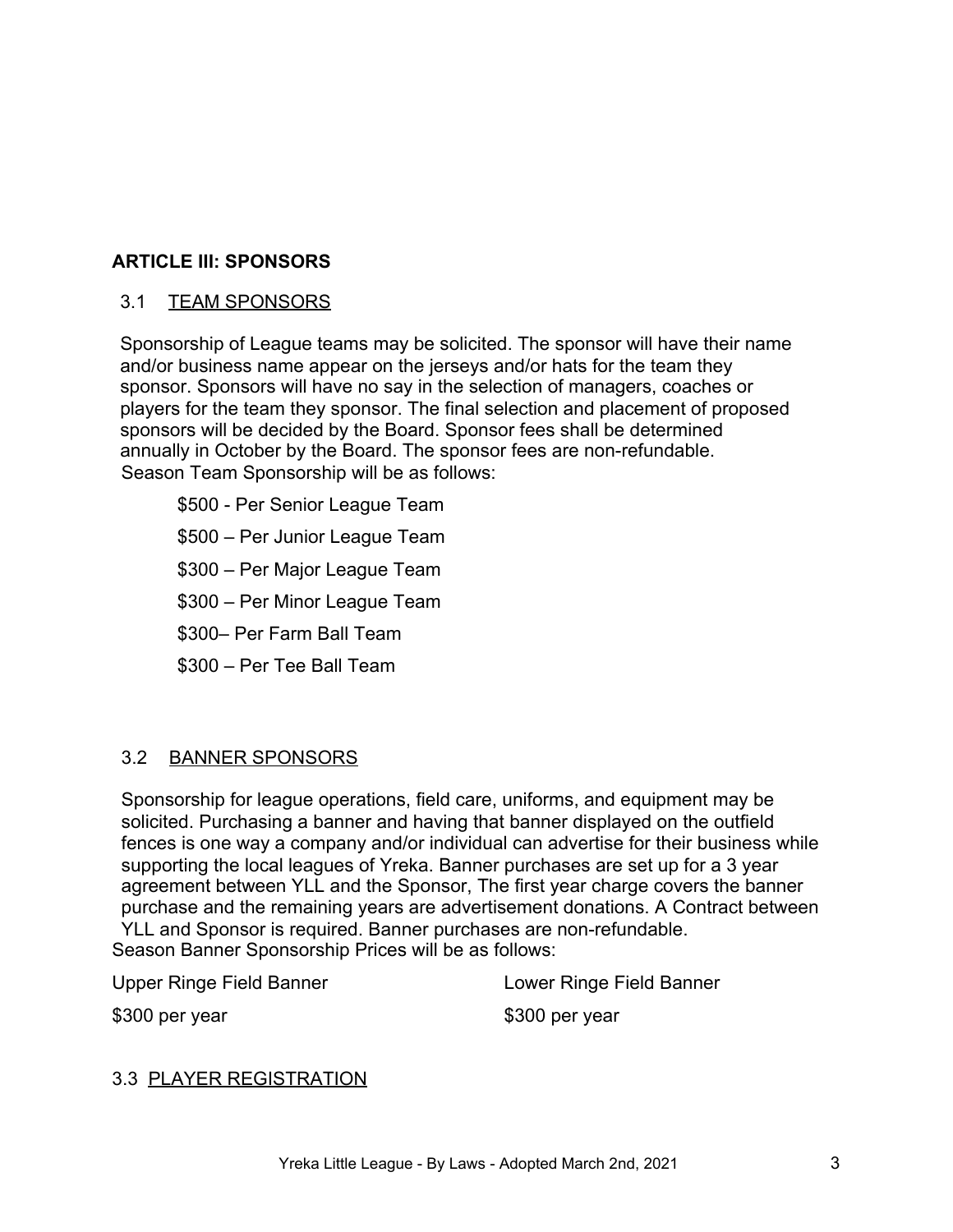# **ARTICLE III: SPONSORS**

# 3.1 TEAM SPONSORS

Sponsorship of League teams may be solicited. The sponsor will have their name and/or business name appear on the jerseys and/or hats for the team they sponsor. Sponsors will have no say in the selection of managers, coaches or players for the team they sponsor. The final selection and placement of proposed sponsors will be decided by the Board. Sponsor fees shall be determined annually in October by the Board. The sponsor fees are non-refundable. Season Team Sponsorship will be as follows:

\$500 - Per Senior League Team \$500 – Per Junior League Team \$300 – Per Major League Team \$300 – Per Minor League Team \$300– Per Farm Ball Team \$300 – Per Tee Ball Team

# 3.2 BANNER SPONSORS

Sponsorship for league operations, field care, uniforms, and equipment may be solicited. Purchasing a banner and having that banner displayed on the outfield fences is one way a company and/or individual can advertise for their business while supporting the local leagues of Yreka. Banner purchases are set up for a 3 year agreement between YLL and the Sponsor, The first year charge covers the banner purchase and the remaining years are advertisement donations. A Contract between YLL and Sponsor is required. Banner purchases are non-refundable.

Season Banner Sponsorship Prices will be as follows:

Upper Ringe Field Banner **Lower Ringe Field Banner** 

\$300 per year \$300 per year

#### 3.3 PLAYER REGISTRATION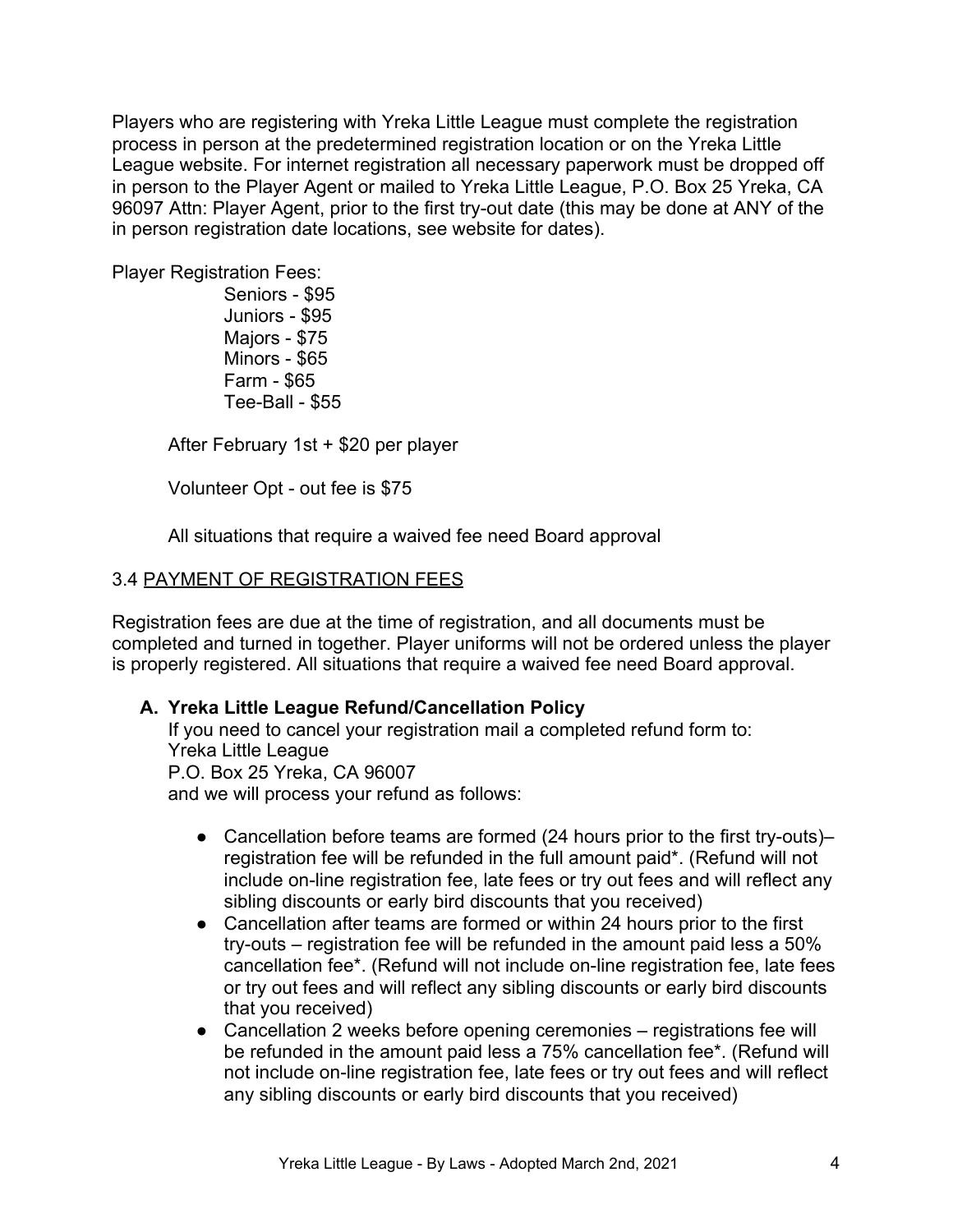Players who are registering with Yreka Little League must complete the registration process in person at the predetermined registration location or on the Yreka Little League website. For internet registration all necessary paperwork must be dropped off in person to the Player Agent or mailed to Yreka Little League, P.O. Box 25 [Yreka, CA](https://goo.gl/maps/LxdkbqDeeB22) [96097](https://goo.gl/maps/LxdkbqDeeB22) Attn: Player Agent, prior to the first try-out date (this may be done at ANY of the in person registration date locations, see website for dates).

Player Registration Fees:

Seniors - \$95 Juniors - \$95 Majors - \$75 Minors - \$65 Farm - \$65 Tee-Ball - \$55

After February 1st + \$20 per player

Volunteer Opt - out fee is \$75

All situations that require a waived fee need Board approval

#### 3.4 PAYMENT OF REGISTRATION FEES

Registration fees are due at the time of registration, and all documents must be completed and turned in together. Player uniforms will not be ordered unless the player is properly registered. All situations that require a waived fee need Board approval.

#### **A. Yreka Little League Refund/Cancellation Policy**

If you need to cancel your registration mail a completed refund form to: Yreka Little League P.O. Box 25 Yreka, CA 96007 and we will process your refund as follows:

- Cancellation before teams are formed (24 hours prior to the first try-outs)– registration fee will be refunded in the full amount paid\*. (Refund will not include on-line registration fee, late fees or try out fees and will reflect any sibling discounts or early bird discounts that you received)
- Cancellation after teams are formed or within 24 hours prior to the first try-outs – registration fee will be refunded in the amount paid less a 50% cancellation fee\*. (Refund will not include on-line registration fee, late fees or try out fees and will reflect any sibling discounts or early bird discounts that you received)
- Cancellation 2 weeks before opening ceremonies registrations fee will be refunded in the amount paid less a 75% cancellation fee\*. (Refund will not include on-line registration fee, late fees or try out fees and will reflect any sibling discounts or early bird discounts that you received)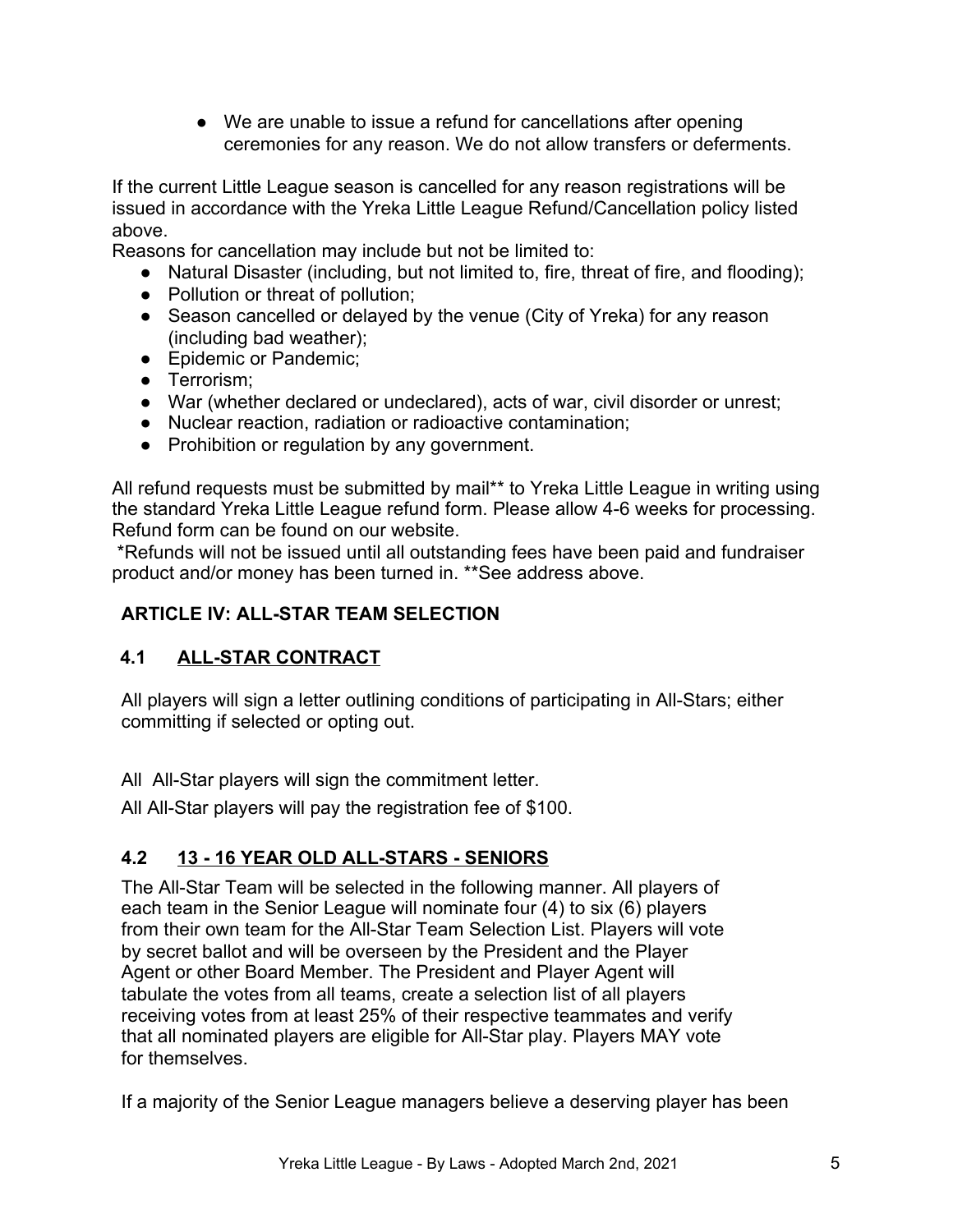● We are unable to issue a refund for cancellations after opening ceremonies for any reason. We do not allow transfers or deferments.

If the current Little League season is cancelled for any reason registrations will be issued in accordance with the Yreka Little League Refund/Cancellation policy listed above.

Reasons for cancellation may include but not be limited to:

- Natural Disaster (including, but not limited to, fire, threat of fire, and flooding);
- Pollution or threat of pollution;
- Season cancelled or delayed by the venue (City of Yreka) for any reason (including bad weather);
- Epidemic or Pandemic;
- Terrorism;
- War (whether declared or undeclared), acts of war, civil disorder or unrest;
- Nuclear reaction, radiation or radioactive contamination;
- Prohibition or regulation by any government.

All refund requests must be submitted by mail\*\* to Yreka Little League in writing using the standard Yreka Little League refund form. Please allow 4-6 weeks for processing. Refund form can be found on our website.

 \*Refunds will not be issued until all outstanding fees have been paid and fundraiser product and/or money has been turned in. \*\*See address above.

# **ARTICLE IV: ALL-STAR TEAM SELECTION**

# **4.1 ALL-STAR CONTRACT**

All players will sign a letter outlining conditions of participating in All-Stars; either committing if selected or opting out.

All All-Star players will sign the commitment letter.

All All-Star players will pay the registration fee of \$100.

# **4.2 13 - 16 YEAR OLD ALL-STARS - SENIORS**

The All-Star Team will be selected in the following manner. All players of each team in the Senior League will nominate four (4) to six (6) players from their own team for the All-Star Team Selection List. Players will vote by secret ballot and will be overseen by the President and the Player Agent or other Board Member. The President and Player Agent will tabulate the votes from all teams, create a selection list of all players receiving votes from at least 25% of their respective teammates and verify that all nominated players are eligible for All-Star play. Players MAY vote for themselves.

If a majority of the Senior League managers believe a deserving player has been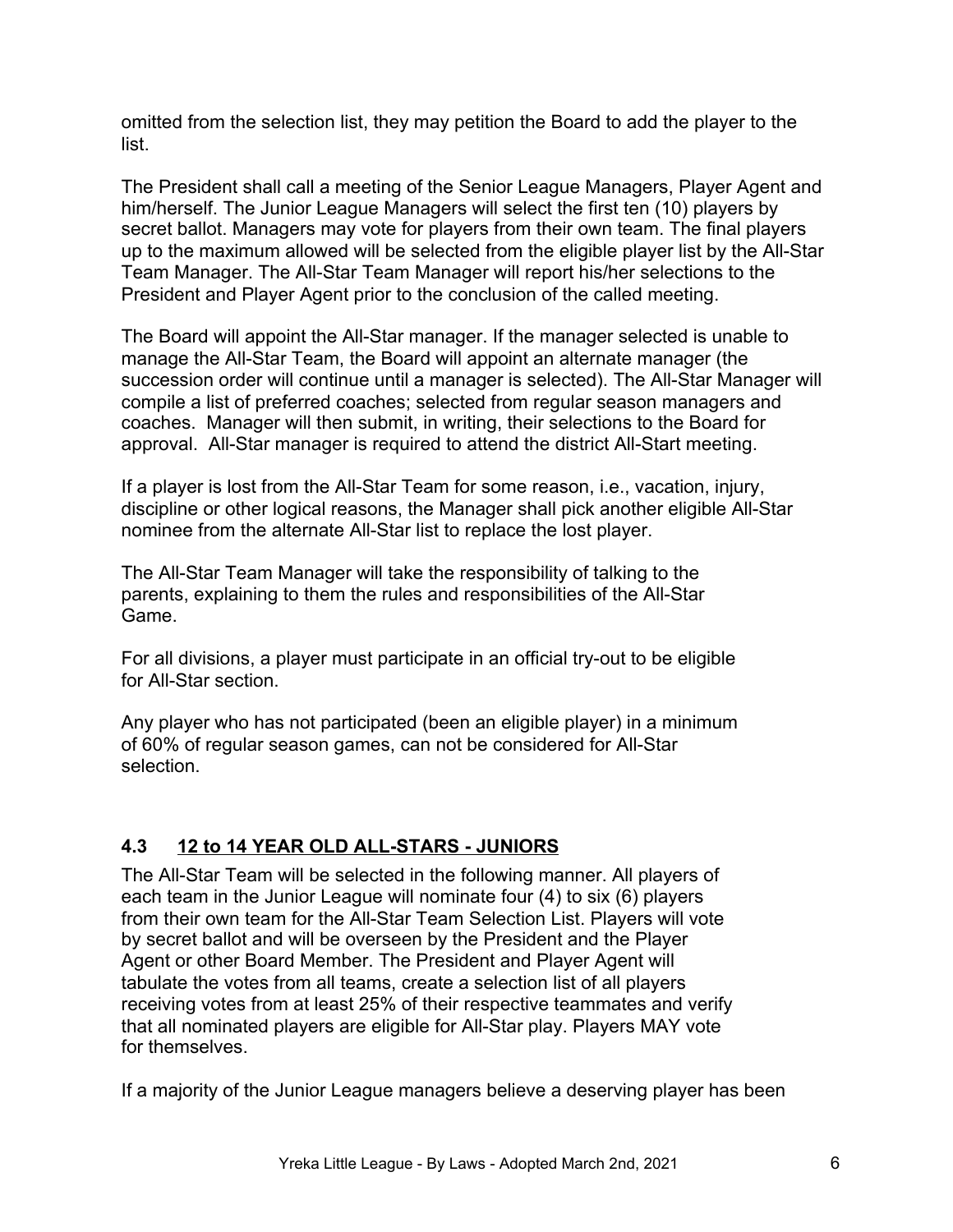omitted from the selection list, they may petition the Board to add the player to the list.

The President shall call a meeting of the Senior League Managers, Player Agent and him/herself. The Junior League Managers will select the first ten (10) players by secret ballot. Managers may vote for players from their own team. The final players up to the maximum allowed will be selected from the eligible player list by the All-Star Team Manager. The All-Star Team Manager will report his/her selections to the President and Player Agent prior to the conclusion of the called meeting.

The Board will appoint the All-Star manager. If the manager selected is unable to manage the All-Star Team, the Board will appoint an alternate manager (the succession order will continue until a manager is selected). The All-Star Manager will compile a list of preferred coaches; selected from regular season managers and coaches. Manager will then submit, in writing, their selections to the Board for approval. All-Star manager is required to attend the district All-Start meeting.

If a player is lost from the All-Star Team for some reason, i.e., vacation, injury, discipline or other logical reasons, the Manager shall pick another eligible All-Star nominee from the alternate All-Star list to replace the lost player.

The All-Star Team Manager will take the responsibility of talking to the parents, explaining to them the rules and responsibilities of the All-Star Game.

For all divisions, a player must participate in an official try-out to be eligible for All-Star section.

Any player who has not participated (been an eligible player) in a minimum of 60% of regular season games, can not be considered for All-Star selection.

# **4.3 12 to 14 YEAR OLD ALL-STARS - JUNIORS**

The All-Star Team will be selected in the following manner. All players of each team in the Junior League will nominate four (4) to six (6) players from their own team for the All-Star Team Selection List. Players will vote by secret ballot and will be overseen by the President and the Player Agent or other Board Member. The President and Player Agent will tabulate the votes from all teams, create a selection list of all players receiving votes from at least 25% of their respective teammates and verify that all nominated players are eligible for All-Star play. Players MAY vote for themselves.

If a majority of the Junior League managers believe a deserving player has been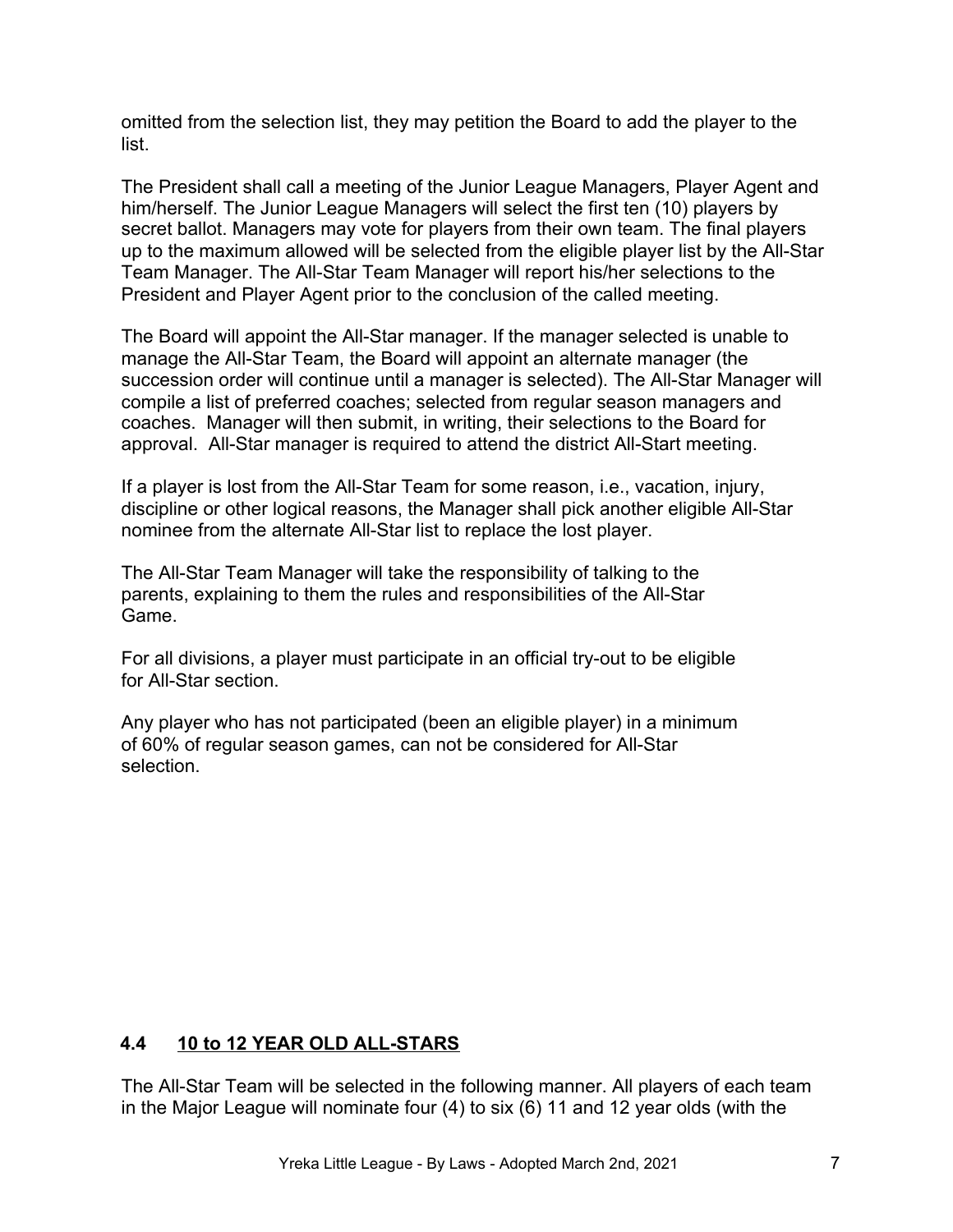omitted from the selection list, they may petition the Board to add the player to the list.

The President shall call a meeting of the Junior League Managers, Player Agent and him/herself. The Junior League Managers will select the first ten (10) players by secret ballot. Managers may vote for players from their own team. The final players up to the maximum allowed will be selected from the eligible player list by the All-Star Team Manager. The All-Star Team Manager will report his/her selections to the President and Player Agent prior to the conclusion of the called meeting.

The Board will appoint the All-Star manager. If the manager selected is unable to manage the All-Star Team, the Board will appoint an alternate manager (the succession order will continue until a manager is selected). The All-Star Manager will compile a list of preferred coaches; selected from regular season managers and coaches. Manager will then submit, in writing, their selections to the Board for approval. All-Star manager is required to attend the district All-Start meeting.

If a player is lost from the All-Star Team for some reason, i.e., vacation, injury, discipline or other logical reasons, the Manager shall pick another eligible All-Star nominee from the alternate All-Star list to replace the lost player.

The All-Star Team Manager will take the responsibility of talking to the parents, explaining to them the rules and responsibilities of the All-Star Game.

For all divisions, a player must participate in an official try-out to be eligible for All-Star section.

Any player who has not participated (been an eligible player) in a minimum of 60% of regular season games, can not be considered for All-Star selection.

# **4.4 10 to 12 YEAR OLD ALL-STARS**

The All-Star Team will be selected in the following manner. All players of each team in the Major League will nominate four (4) to six (6) 11 and 12 year olds (with the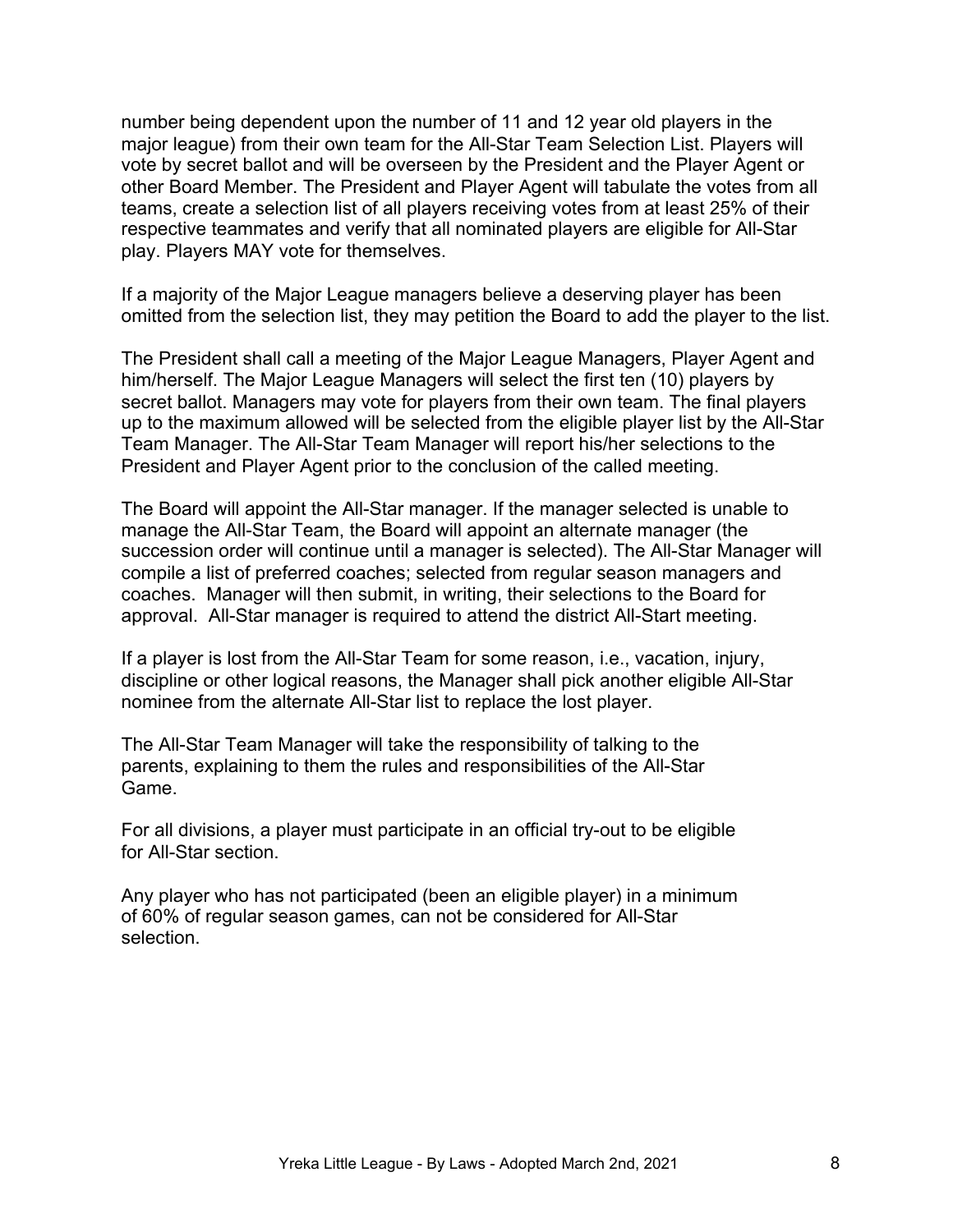number being dependent upon the number of 11 and 12 year old players in the major league) from their own team for the All-Star Team Selection List. Players will vote by secret ballot and will be overseen by the President and the Player Agent or other Board Member. The President and Player Agent will tabulate the votes from all teams, create a selection list of all players receiving votes from at least 25% of their respective teammates and verify that all nominated players are eligible for All-Star play. Players MAY vote for themselves.

If a majority of the Major League managers believe a deserving player has been omitted from the selection list, they may petition the Board to add the player to the list.

The President shall call a meeting of the Major League Managers, Player Agent and him/herself. The Major League Managers will select the first ten (10) players by secret ballot. Managers may vote for players from their own team. The final players up to the maximum allowed will be selected from the eligible player list by the All-Star Team Manager. The All-Star Team Manager will report his/her selections to the President and Player Agent prior to the conclusion of the called meeting.

The Board will appoint the All-Star manager. If the manager selected is unable to manage the All-Star Team, the Board will appoint an alternate manager (the succession order will continue until a manager is selected). The All-Star Manager will compile a list of preferred coaches; selected from regular season managers and coaches. Manager will then submit, in writing, their selections to the Board for approval. All-Star manager is required to attend the district All-Start meeting.

If a player is lost from the All-Star Team for some reason, i.e., vacation, injury, discipline or other logical reasons, the Manager shall pick another eligible All-Star nominee from the alternate All-Star list to replace the lost player.

The All-Star Team Manager will take the responsibility of talking to the parents, explaining to them the rules and responsibilities of the All-Star Game.

For all divisions, a player must participate in an official try-out to be eligible for All-Star section.

Any player who has not participated (been an eligible player) in a minimum of 60% of regular season games, can not be considered for All-Star selection.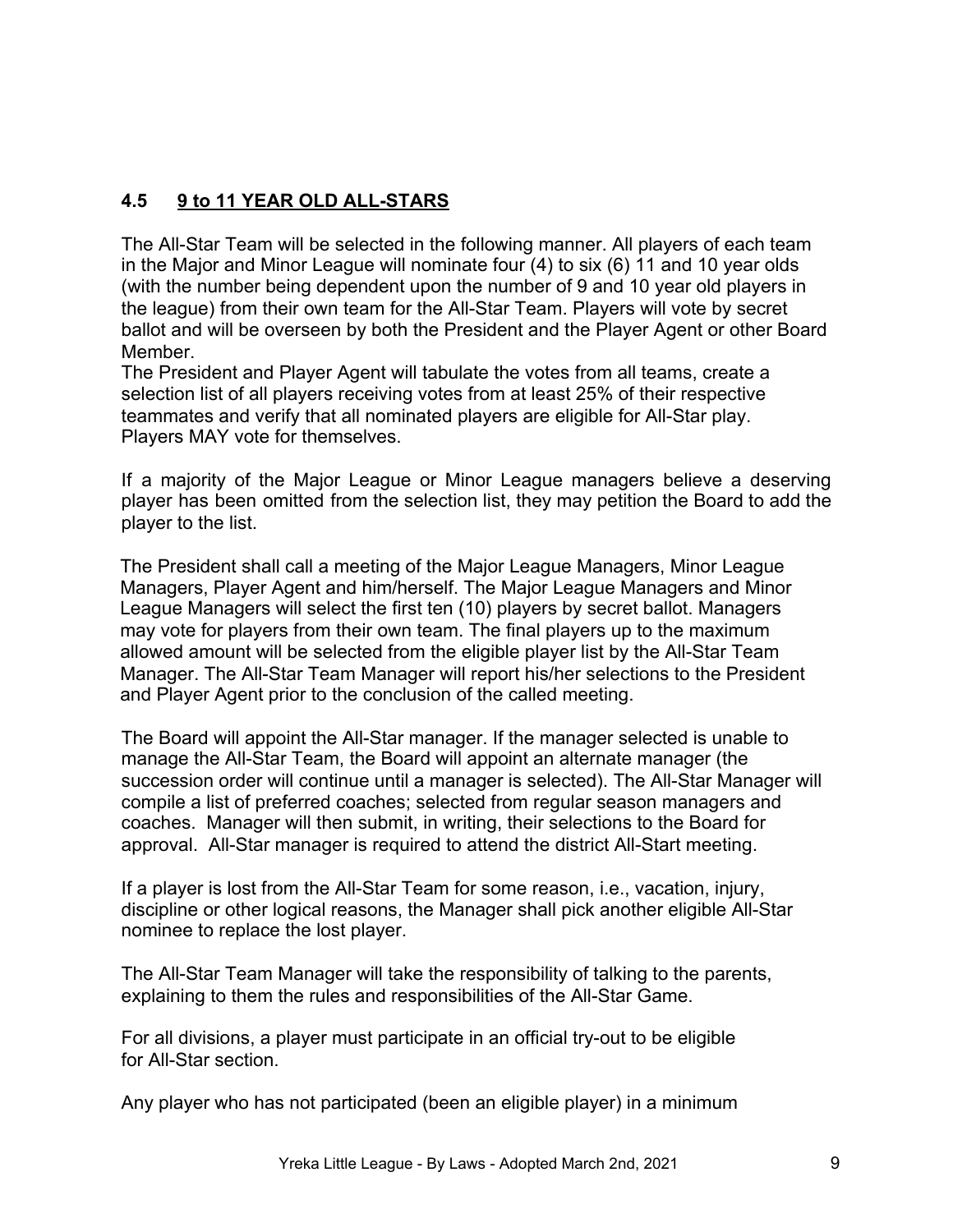# **4.5 9 to 11 YEAR OLD ALL-STARS**

The All-Star Team will be selected in the following manner. All players of each team in the Major and Minor League will nominate four (4) to six (6) 11 and 10 year olds (with the number being dependent upon the number of 9 and 10 year old players in the league) from their own team for the All-Star Team. Players will vote by secret ballot and will be overseen by both the President and the Player Agent or other Board Member.

The President and Player Agent will tabulate the votes from all teams, create a selection list of all players receiving votes from at least 25% of their respective teammates and verify that all nominated players are eligible for All-Star play. Players MAY vote for themselves.

If a majority of the Major League or Minor League managers believe a deserving player has been omitted from the selection list, they may petition the Board to add the player to the list.

The President shall call a meeting of the Major League Managers, Minor League Managers, Player Agent and him/herself. The Major League Managers and Minor League Managers will select the first ten (10) players by secret ballot. Managers may vote for players from their own team. The final players up to the maximum allowed amount will be selected from the eligible player list by the All-Star Team Manager. The All-Star Team Manager will report his/her selections to the President and Player Agent prior to the conclusion of the called meeting.

The Board will appoint the All-Star manager. If the manager selected is unable to manage the All-Star Team, the Board will appoint an alternate manager (the succession order will continue until a manager is selected). The All-Star Manager will compile a list of preferred coaches; selected from regular season managers and coaches. Manager will then submit, in writing, their selections to the Board for approval. All-Star manager is required to attend the district All-Start meeting.

If a player is lost from the All-Star Team for some reason, i.e., vacation, injury, discipline or other logical reasons, the Manager shall pick another eligible All-Star nominee to replace the lost player.

The All-Star Team Manager will take the responsibility of talking to the parents, explaining to them the rules and responsibilities of the All-Star Game.

For all divisions, a player must participate in an official try-out to be eligible for All-Star section.

Any player who has not participated (been an eligible player) in a minimum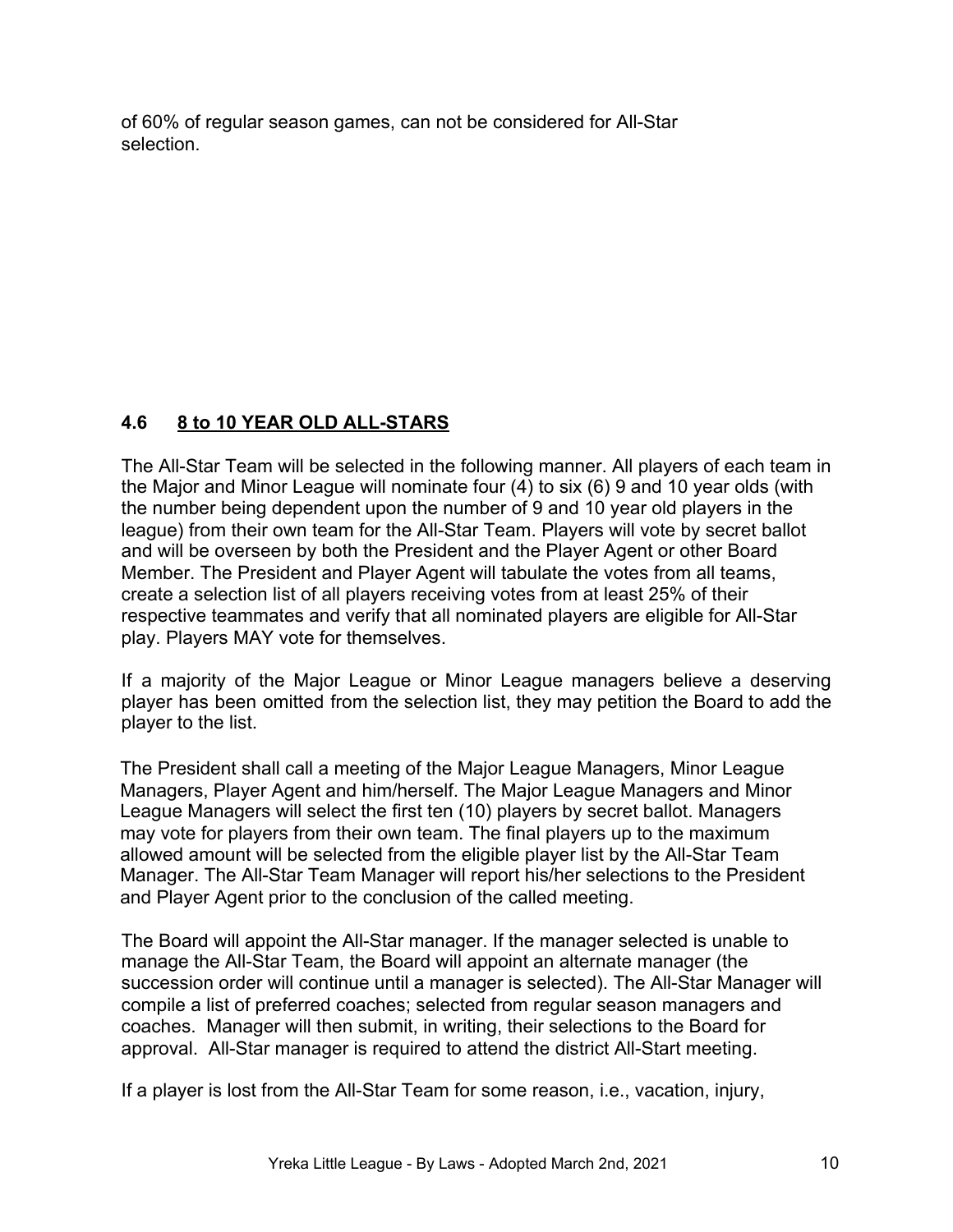of 60% of regular season games, can not be considered for All-Star selection.

# **4.6 8 to 10 YEAR OLD ALL-STARS**

The All-Star Team will be selected in the following manner. All players of each team in the Major and Minor League will nominate four (4) to six (6) 9 and 10 year olds (with the number being dependent upon the number of 9 and 10 year old players in the league) from their own team for the All-Star Team. Players will vote by secret ballot and will be overseen by both the President and the Player Agent or other Board Member. The President and Player Agent will tabulate the votes from all teams, create a selection list of all players receiving votes from at least 25% of their respective teammates and verify that all nominated players are eligible for All-Star play. Players MAY vote for themselves.

If a majority of the Major League or Minor League managers believe a deserving player has been omitted from the selection list, they may petition the Board to add the player to the list.

The President shall call a meeting of the Major League Managers, Minor League Managers, Player Agent and him/herself. The Major League Managers and Minor League Managers will select the first ten (10) players by secret ballot. Managers may vote for players from their own team. The final players up to the maximum allowed amount will be selected from the eligible player list by the All-Star Team Manager. The All-Star Team Manager will report his/her selections to the President and Player Agent prior to the conclusion of the called meeting.

The Board will appoint the All-Star manager. If the manager selected is unable to manage the All-Star Team, the Board will appoint an alternate manager (the succession order will continue until a manager is selected). The All-Star Manager will compile a list of preferred coaches; selected from regular season managers and coaches. Manager will then submit, in writing, their selections to the Board for approval. All-Star manager is required to attend the district All-Start meeting.

If a player is lost from the All-Star Team for some reason, i.e., vacation, injury,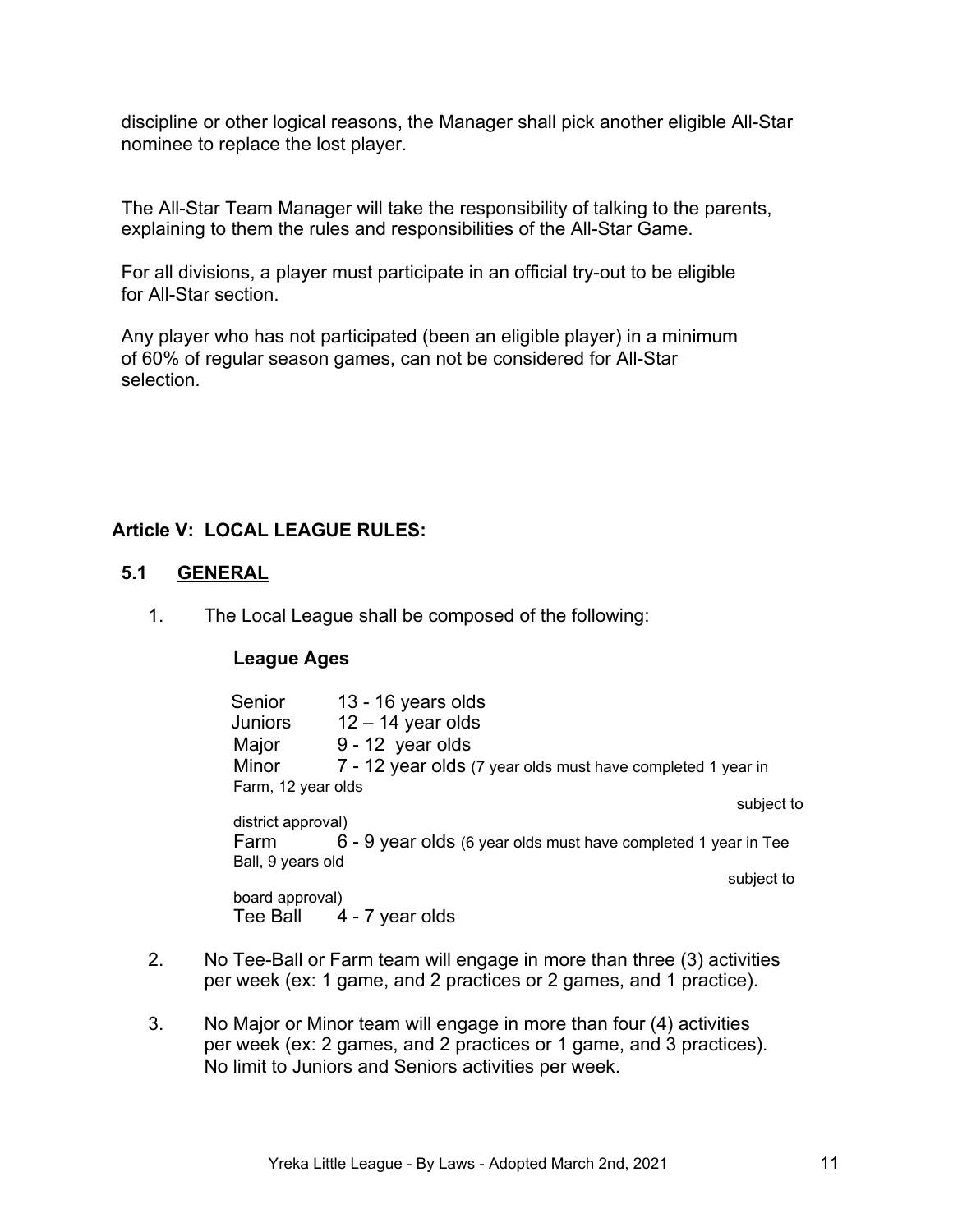discipline or other logical reasons, the Manager shall pick another eligible All-Star nominee to replace the lost player.

The All-Star Team Manager will take the responsibility of talking to the parents, explaining to them the rules and responsibilities of the All-Star Game.

For all divisions, a player must participate in an official try-out to be eligible for All-Star section.

Any player who has not participated (been an eligible player) in a minimum of 60% of regular season games, can not be considered for All-Star selection.

# **Article V: LOCAL LEAGUE RULES:**

#### **5.1 GENERAL**

1. The Local League shall be composed of the following:

#### **League Ages**

| Senior             | 13 - 16 years olds                                             |  |  |  |
|--------------------|----------------------------------------------------------------|--|--|--|
| Juniors            | $12 - 14$ year olds                                            |  |  |  |
| Major              | 9 - 12 year olds                                               |  |  |  |
| Minor              | 7 - 12 year olds (7 year olds must have completed 1 year in    |  |  |  |
| Farm, 12 year olds |                                                                |  |  |  |
|                    | subject to                                                     |  |  |  |
| district approval) |                                                                |  |  |  |
| Farm               | 6 - 9 year olds (6 year olds must have completed 1 year in Tee |  |  |  |
| Ball, 9 years old  |                                                                |  |  |  |
|                    | subject to                                                     |  |  |  |
| board approval)    |                                                                |  |  |  |
|                    | Tee Ball 4 - 7 year olds                                       |  |  |  |
|                    |                                                                |  |  |  |

- 2. No Tee-Ball or Farm team will engage in more than three (3) activities per week (ex: 1 game, and 2 practices or 2 games, and 1 practice).
- 3. No Major or Minor team will engage in more than four (4) activities per week (ex: 2 games, and 2 practices or 1 game, and 3 practices). No limit to Juniors and Seniors activities per week.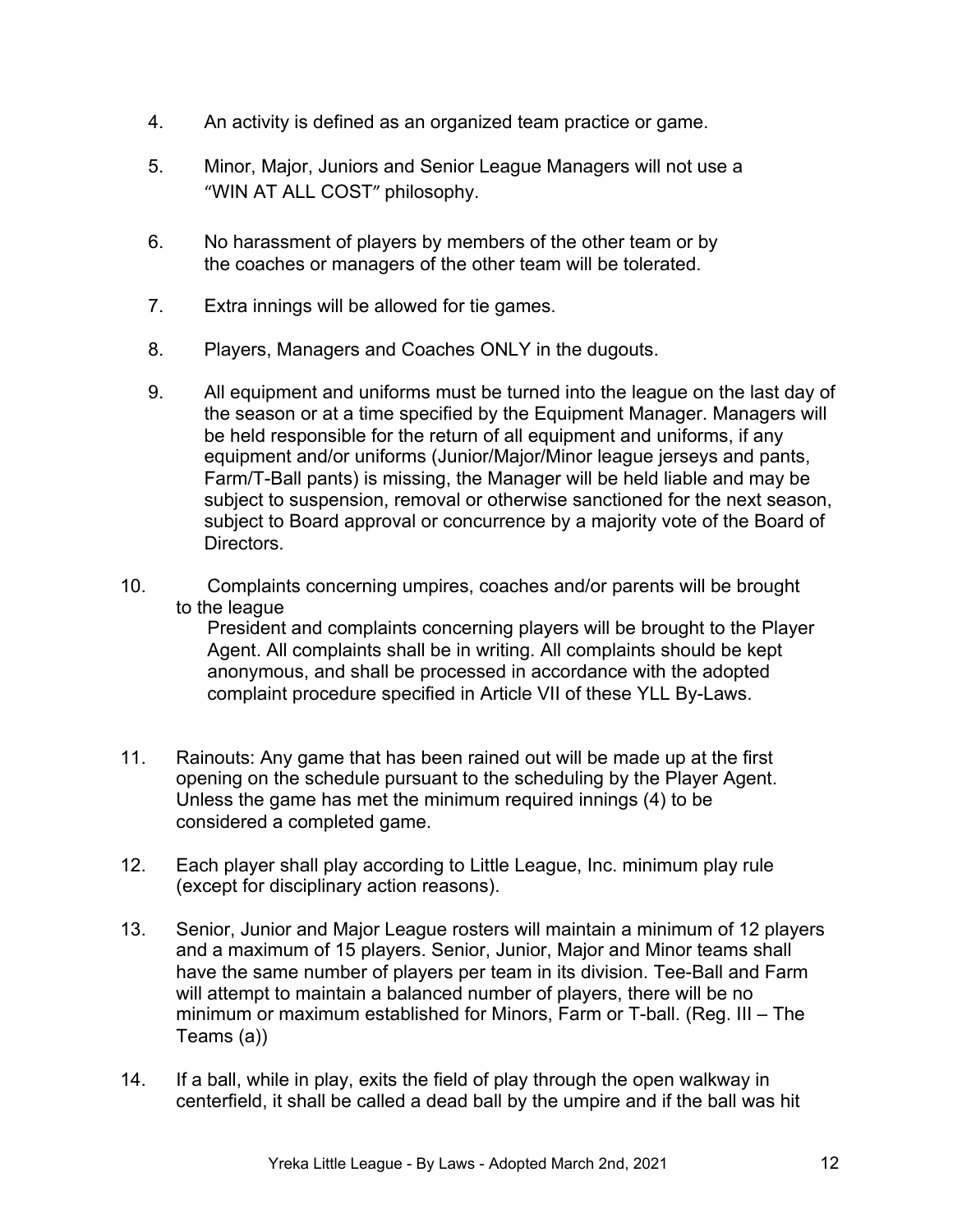- 4. An activity is defined as an organized team practice or game.
- 5. Minor, Major, Juniors and Senior League Managers will not use a "WIN AT ALL COST" philosophy.
- 6. No harassment of players by members of the other team or by the coaches or managers of the other team will be tolerated.
- 7. Extra innings will be allowed for tie games.
- 8. Players, Managers and Coaches ONLY in the dugouts.
- 9. All equipment and uniforms must be turned into the league on the last day of the season or at a time specified by the Equipment Manager. Managers will be held responsible for the return of all equipment and uniforms, if any equipment and/or uniforms (Junior/Major/Minor league jerseys and pants, Farm/T-Ball pants) is missing, the Manager will be held liable and may be subject to suspension, removal or otherwise sanctioned for the next season, subject to Board approval or concurrence by a majority vote of the Board of Directors.
- 10. Complaints concerning umpires, coaches and/or parents will be brought to the league

 President and complaints concerning players will be brought to the Player Agent. All complaints shall be in writing. All complaints should be kept anonymous, and shall be processed in accordance with the adopted complaint procedure specified in Article VII of these YLL By-Laws.

- 11. Rainouts: Any game that has been rained out will be made up at the first opening on the schedule pursuant to the scheduling by the Player Agent. Unless the game has met the minimum required innings (4) to be considered a completed game.
- 12. Each player shall play according to Little League, Inc. minimum play rule (except for disciplinary action reasons).
- 13. Senior, Junior and Major League rosters will maintain a minimum of 12 players and a maximum of 15 players. Senior, Junior, Major and Minor teams shall have the same number of players per team in its division. Tee-Ball and Farm will attempt to maintain a balanced number of players, there will be no minimum or maximum established for Minors, Farm or T-ball. (Reg. III – The Teams (a))
- 14. If a ball, while in play, exits the field of play through the open walkway in centerfield, it shall be called a dead ball by the umpire and if the ball was hit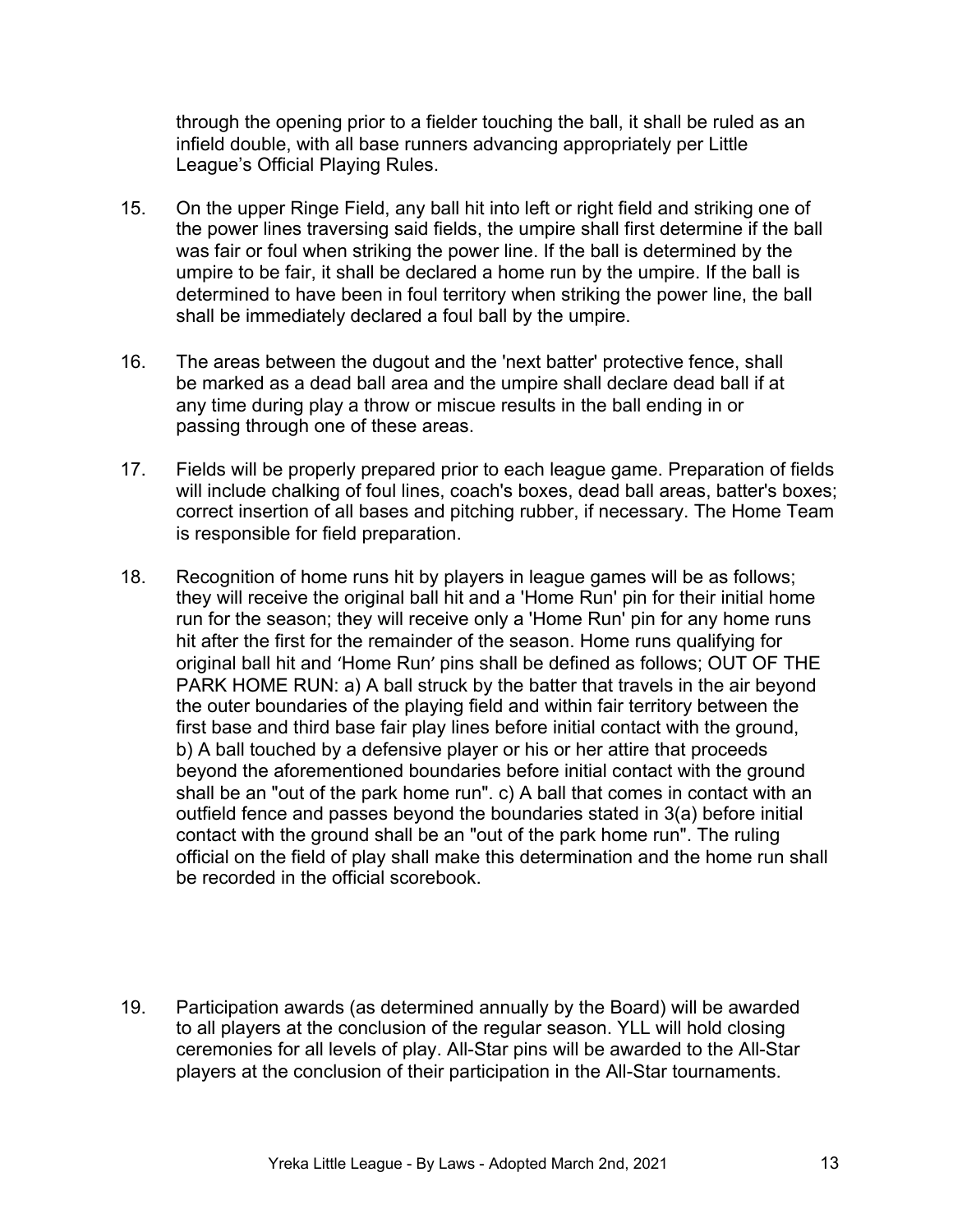through the opening prior to a fielder touching the ball, it shall be ruled as an infield double, with all base runners advancing appropriately per Little League's Official Playing Rules.

- 15. On the upper Ringe Field, any ball hit into left or right field and striking one of the power lines traversing said fields, the umpire shall first determine if the ball was fair or foul when striking the power line. If the ball is determined by the umpire to be fair, it shall be declared a home run by the umpire. If the ball is determined to have been in foul territory when striking the power line, the ball shall be immediately declared a foul ball by the umpire.
- 16. The areas between the dugout and the 'next batter' protective fence, shall be marked as a dead ball area and the umpire shall declare dead ball if at any time during play a throw or miscue results in the ball ending in or passing through one of these areas.
- 17. Fields will be properly prepared prior to each league game. Preparation of fields will include chalking of foul lines, coach's boxes, dead ball areas, batter's boxes; correct insertion of all bases and pitching rubber, if necessary. The Home Team is responsible for field preparation.
- 18. Recognition of home runs hit by players in league games will be as follows; they will receive the original ball hit and a 'Home Run' pin for their initial home run for the season; they will receive only a 'Home Run' pin for any home runs hit after the first for the remainder of the season. Home runs qualifying for original ball hit and 'Home Run' pins shall be defined as follows; OUT OF THE PARK HOME RUN: a) A ball struck by the batter that travels in the air beyond the outer boundaries of the playing field and within fair territory between the first base and third base fair play lines before initial contact with the ground, b) A ball touched by a defensive player or his or her attire that proceeds beyond the aforementioned boundaries before initial contact with the ground shall be an "out of the park home run". c) A ball that comes in contact with an outfield fence and passes beyond the boundaries stated in 3(a) before initial contact with the ground shall be an "out of the park home run". The ruling official on the field of play shall make this determination and the home run shall be recorded in the official scorebook.
- 19. Participation awards (as determined annually by the Board) will be awarded to all players at the conclusion of the regular season. YLL will hold closing ceremonies for all levels of play. All-Star pins will be awarded to the All-Star players at the conclusion of their participation in the All-Star tournaments.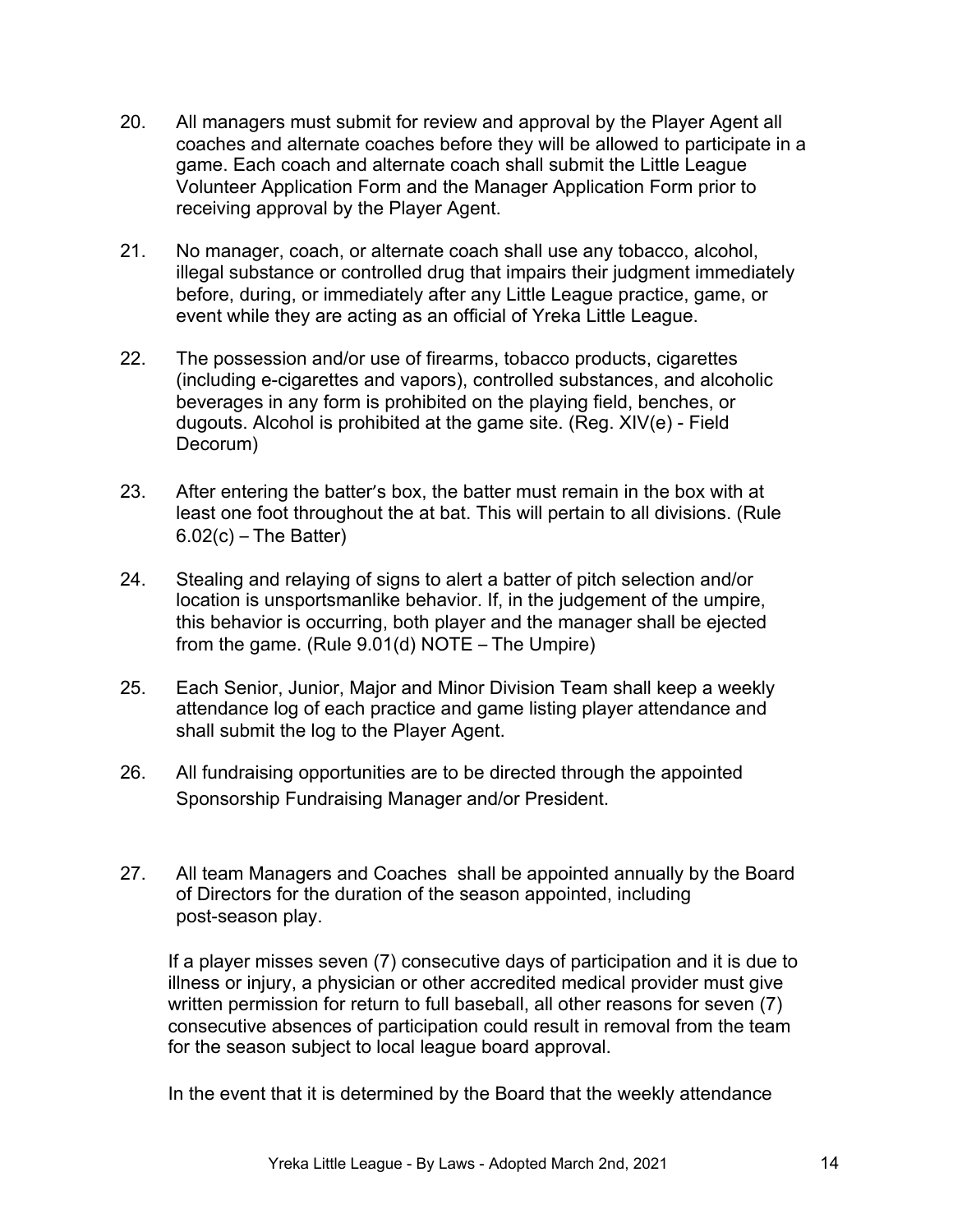- 20. All managers must submit for review and approval by the Player Agent all coaches and alternate coaches before they will be allowed to participate in a game. Each coach and alternate coach shall submit the Little League Volunteer Application Form and the Manager Application Form prior to receiving approval by the Player Agent.
- 21. No manager, coach, or alternate coach shall use any tobacco, alcohol, illegal substance or controlled drug that impairs their judgment immediately before, during, or immediately after any Little League practice, game, or event while they are acting as an official of Yreka Little League.
- 22. The possession and/or use of firearms, tobacco products, cigarettes (including e-cigarettes and vapors), controlled substances, and alcoholic beverages in any form is prohibited on the playing field, benches, or dugouts. Alcohol is prohibited at the game site. (Reg. XIV(e) - Field Decorum)
- 23. After entering the batter's box, the batter must remain in the box with at least one foot throughout the at bat. This will pertain to all divisions. (Rule  $6.02(c)$  – The Batter)
- 24. Stealing and relaying of signs to alert a batter of pitch selection and/or location is unsportsmanlike behavior. If, in the judgement of the umpire, this behavior is occurring, both player and the manager shall be ejected from the game. (Rule 9.01(d) NOTE – The Umpire)
- 25. Each Senior, Junior, Major and Minor Division Team shall keep a weekly attendance log of each practice and game listing player attendance and shall submit the log to the Player Agent.
- 26. All fundraising opportunities are to be directed through the appointed Sponsorship Fundraising Manager and/or President.
- 27. All team Managers and Coaches shall be appointed annually by the Board of Directors for the duration of the season appointed, including post-season play.

If a player misses seven (7) consecutive days of participation and it is due to illness or injury, a physician or other accredited medical provider must give written permission for return to full baseball, all other reasons for seven (7) consecutive absences of participation could result in removal from the team for the season subject to local league board approval.

In the event that it is determined by the Board that the weekly attendance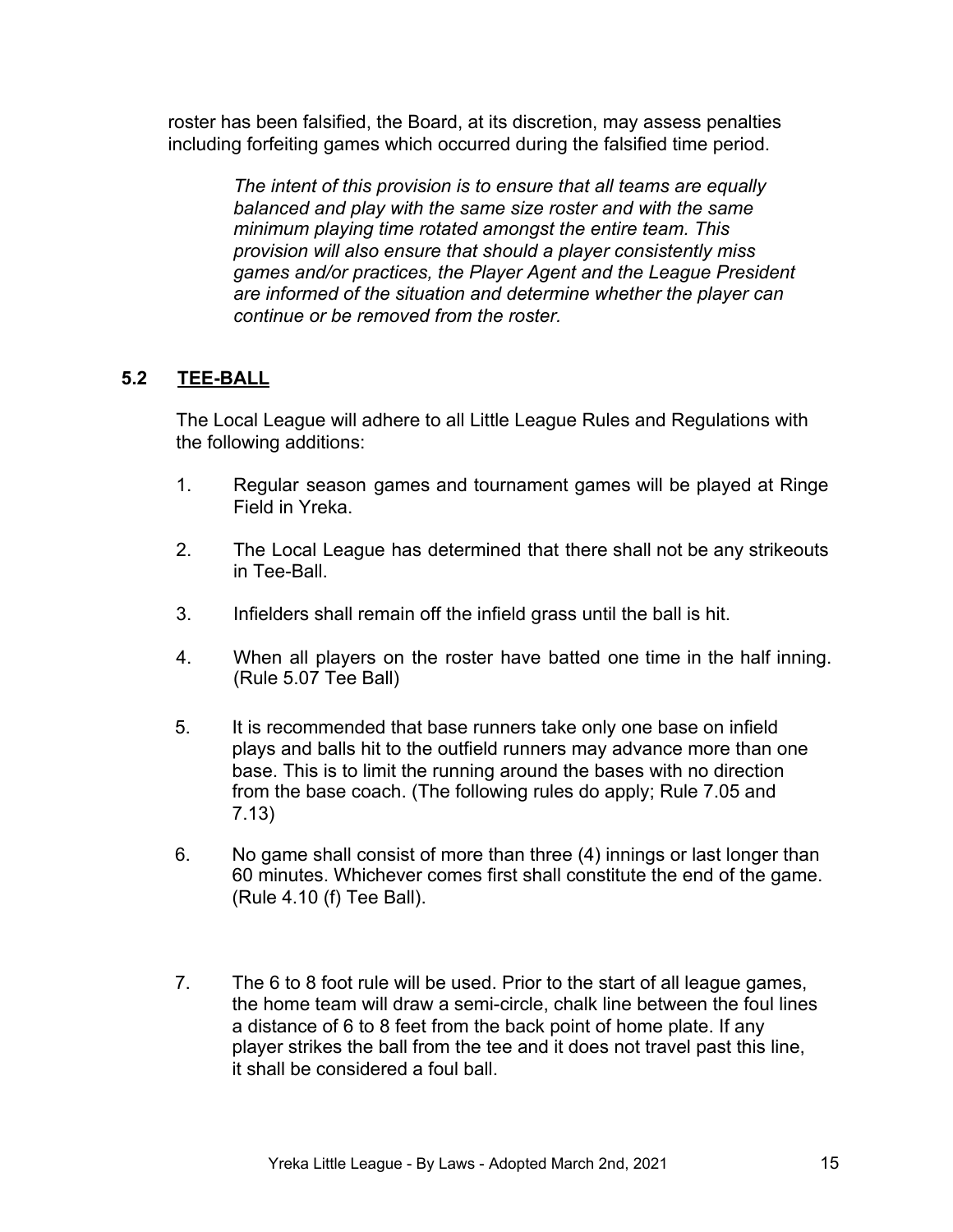roster has been falsified, the Board, at its discretion, may assess penalties including forfeiting games which occurred during the falsified time period.

> *The intent of this provision is to ensure that all teams are equally balanced and play with the same size roster and with the same minimum playing time rotated amongst the entire team. This provision will also ensure that should a player consistently miss games and/or practices, the Player Agent and the League President are informed of the situation and determine whether the player can continue or be removed from the roster.*

# **5.2 TEE-BALL**

The Local League will adhere to all Little League Rules and Regulations with the following additions:

- 1. Regular season games and tournament games will be played at Ringe Field in Yreka.
- 2. The Local League has determined that there shall not be any strikeouts in Tee-Ball.
- 3. Infielders shall remain off the infield grass until the ball is hit.
- 4. When all players on the roster have batted one time in the half inning. (Rule 5.07 Tee Ball)
- 5. It is recommended that base runners take only one base on infield plays and balls hit to the outfield runners may advance more than one base. This is to limit the running around the bases with no direction from the base coach. (The following rules do apply; Rule 7.05 and 7.13)
- 6. No game shall consist of more than three (4) innings or last longer than 60 minutes. Whichever comes first shall constitute the end of the game. (Rule 4.10 (f) Tee Ball).
- 7. The 6 to 8 foot rule will be used. Prior to the start of all league games, the home team will draw a semi-circle, chalk line between the foul lines a distance of 6 to 8 feet from the back point of home plate. If any player strikes the ball from the tee and it does not travel past this line, it shall be considered a foul ball.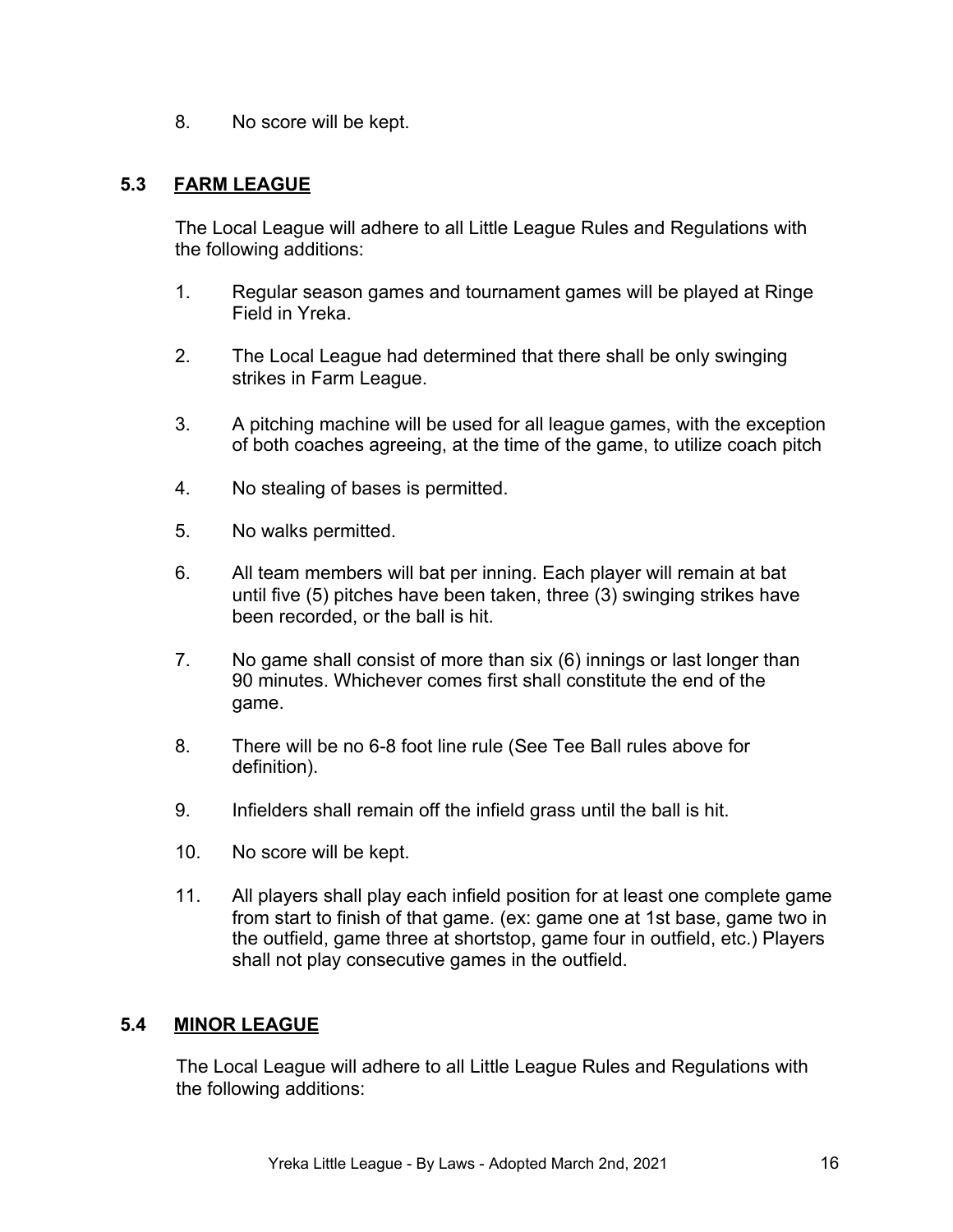8. No score will be kept.

### **5.3 FARM LEAGUE**

The Local League will adhere to all Little League Rules and Regulations with the following additions:

- 1. Regular season games and tournament games will be played at Ringe Field in Yreka.
- 2. The Local League had determined that there shall be only swinging strikes in Farm League.
- 3. A pitching machine will be used for all league games, with the exception of both coaches agreeing, at the time of the game, to utilize coach pitch
- 4. No stealing of bases is permitted.
- 5. No walks permitted.
- 6. All team members will bat per inning. Each player will remain at bat until five (5) pitches have been taken, three (3) swinging strikes have been recorded, or the ball is hit.
- 7. No game shall consist of more than six (6) innings or last longer than 90 minutes. Whichever comes first shall constitute the end of the game.
- 8. There will be no 6-8 foot line rule (See Tee Ball rules above for definition).
- 9. Infielders shall remain off the infield grass until the ball is hit.
- 10. No score will be kept.
- 11. All players shall play each infield position for at least one complete game from start to finish of that game. (ex: game one at 1st base, game two in the outfield, game three at shortstop, game four in outfield, etc.) Players shall not play consecutive games in the outfield.

#### **5.4 MINOR LEAGUE**

The Local League will adhere to all Little League Rules and Regulations with the following additions: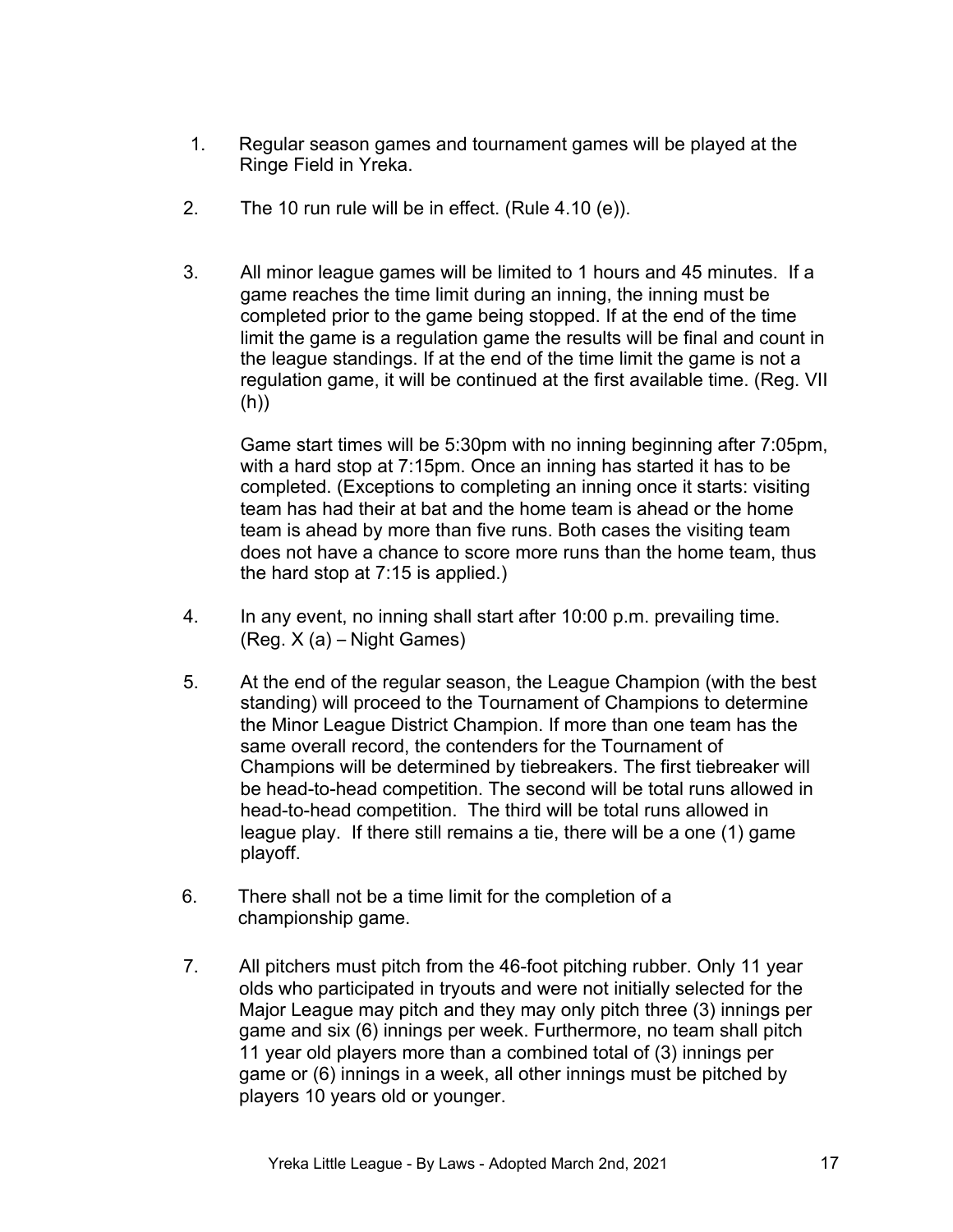- 1. Regular season games and tournament games will be played at the Ringe Field in Yreka.
- 2. The 10 run rule will be in effect. (Rule 4.10 (e)).
- 3. All minor league games will be limited to 1 hours and 45 minutes. If a game reaches the time limit during an inning, the inning must be completed prior to the game being stopped. If at the end of the time limit the game is a regulation game the results will be final and count in the league standings. If at the end of the time limit the game is not a regulation game, it will be continued at the first available time. (Reg. VII (h))

Game start times will be 5:30pm with no inning beginning after 7:05pm, with a hard stop at 7:15pm. Once an inning has started it has to be completed. (Exceptions to completing an inning once it starts: visiting team has had their at bat and the home team is ahead or the home team is ahead by more than five runs. Both cases the visiting team does not have a chance to score more runs than the home team, thus the hard stop at 7:15 is applied.)

- 4. In any event, no inning shall start after 10:00 p.m. prevailing time. (Reg. X (a) – Night Games)
- 5. At the end of the regular season, the League Champion (with the best standing) will proceed to the Tournament of Champions to determine the Minor League District Champion. If more than one team has the same overall record, the contenders for the Tournament of Champions will be determined by tiebreakers. The first tiebreaker will be head-to-head competition. The second will be total runs allowed in head-to-head competition. The third will be total runs allowed in league play. If there still remains a tie, there will be a one (1) game playoff.
- 6. There shall not be a time limit for the completion of a championship game.
- 7. All pitchers must pitch from the 46-foot pitching rubber. Only 11 year olds who participated in tryouts and were not initially selected for the Major League may pitch and they may only pitch three (3) innings per game and six (6) innings per week. Furthermore, no team shall pitch 11 year old players more than a combined total of (3) innings per game or (6) innings in a week, all other innings must be pitched by players 10 years old or younger.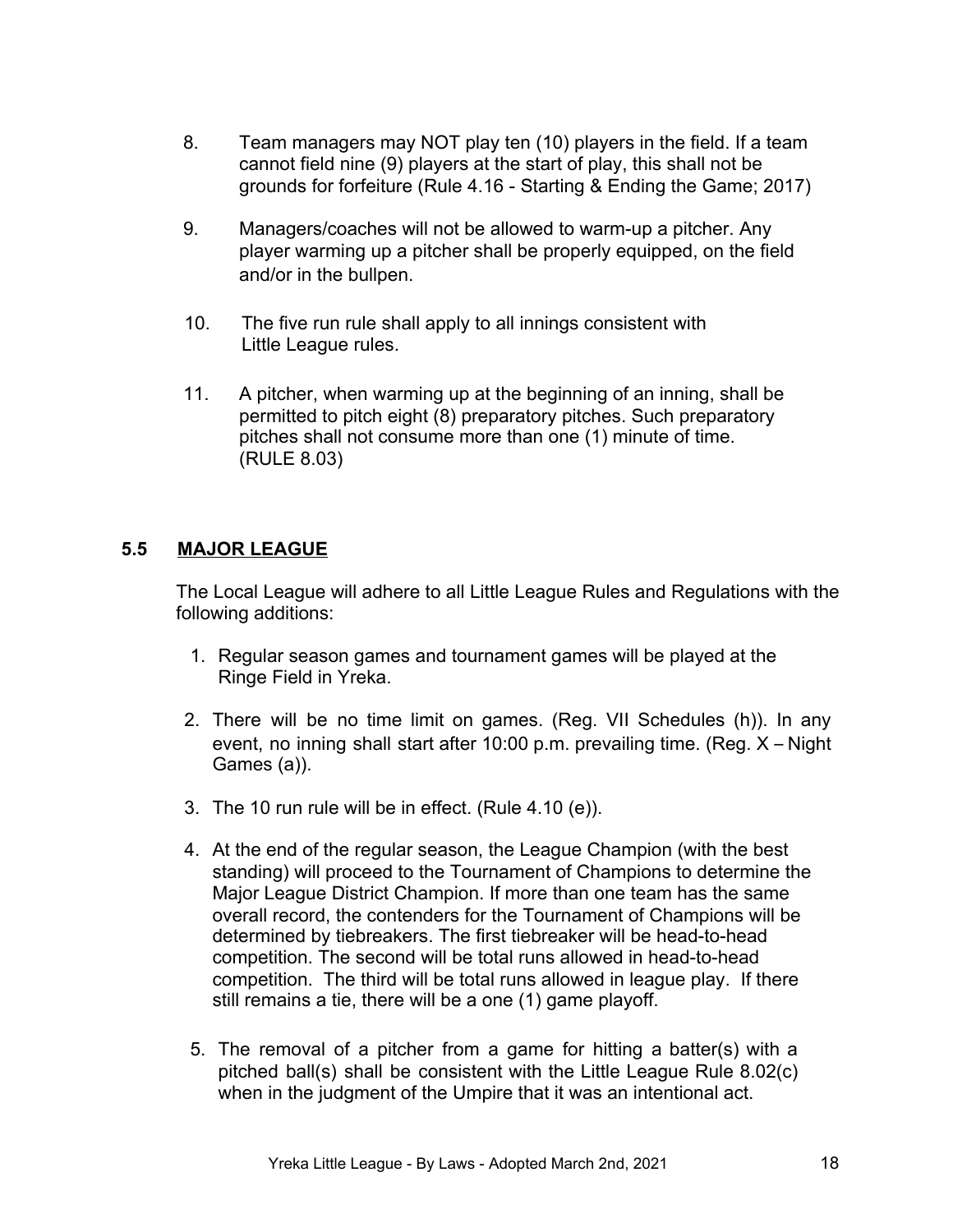- 8. Team managers may NOT play ten (10) players in the field. If a team cannot field nine (9) players at the start of play, this shall not be grounds for forfeiture (Rule 4.16 - Starting & Ending the Game; 2017)
- 9. Managers/coaches will not be allowed to warm-up a pitcher. Any player warming up a pitcher shall be properly equipped, on the field and/or in the bullpen.
- 10. The five run rule shall apply to all innings consistent with Little League rules.
- 11. A pitcher, when warming up at the beginning of an inning, shall be permitted to pitch eight (8) preparatory pitches. Such preparatory pitches shall not consume more than one (1) minute of time. (RULE 8.03)

# **5.5 MAJOR LEAGUE**

The Local League will adhere to all Little League Rules and Regulations with the following additions:

- 1. Regular season games and tournament games will be played at the Ringe Field in Yreka.
- 2. There will be no time limit on games. (Reg. VII Schedules (h)). In any event, no inning shall start after 10:00 p.m. prevailing time. (Reg. X – Night Games (a)).
- 3. The 10 run rule will be in effect. (Rule 4.10 (e)).
- 4. At the end of the regular season, the League Champion (with the best standing) will proceed to the Tournament of Champions to determine the Major League District Champion. If more than one team has the same overall record, the contenders for the Tournament of Champions will be determined by tiebreakers. The first tiebreaker will be head-to-head competition. The second will be total runs allowed in head-to-head competition. The third will be total runs allowed in league play. If there still remains a tie, there will be a one (1) game playoff.
- 5. The removal of a pitcher from a game for hitting a batter(s) with a pitched ball(s) shall be consistent with the Little League Rule 8.02(c) when in the judgment of the Umpire that it was an intentional act.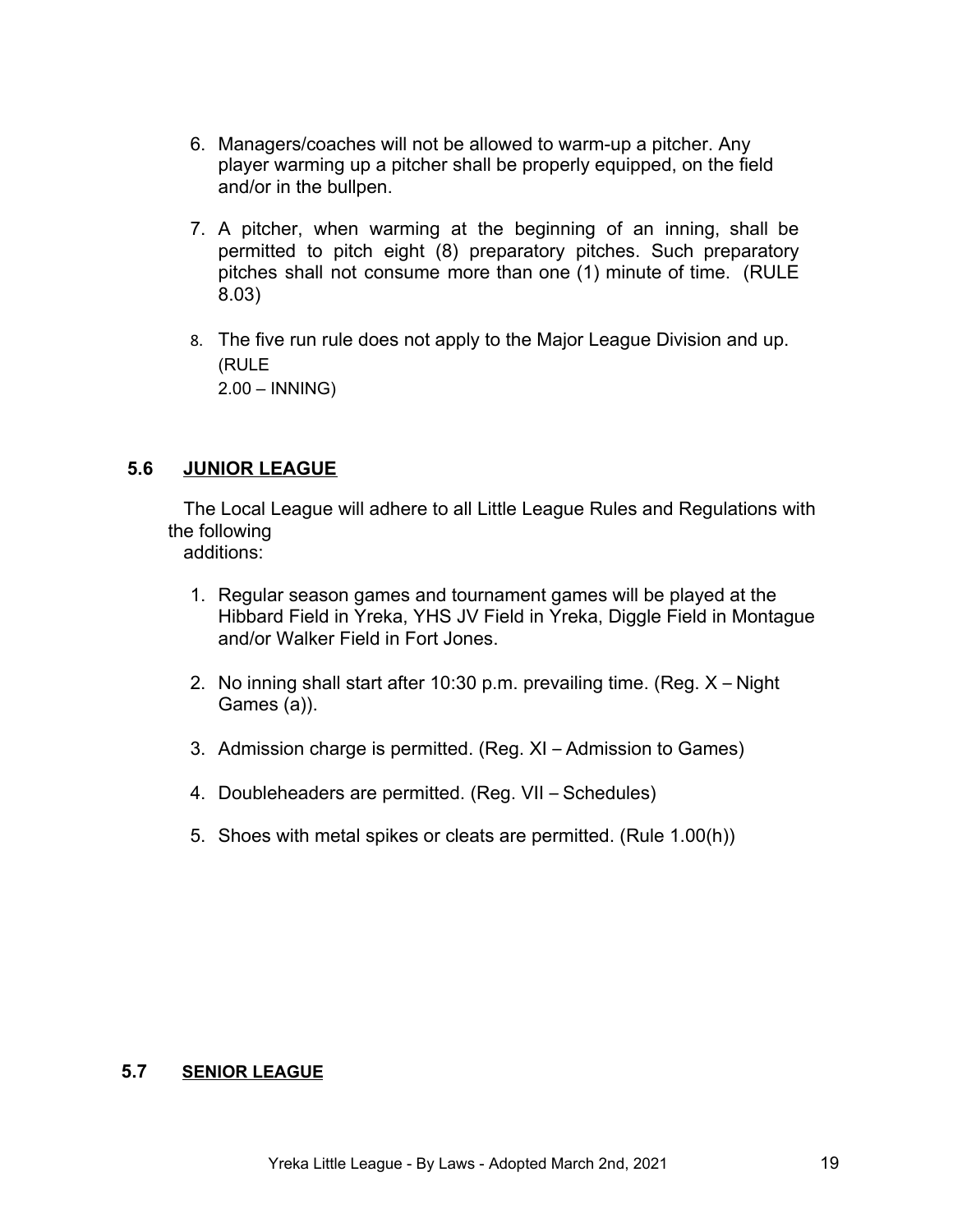- 6. Managers/coaches will not be allowed to warm-up a pitcher. Any player warming up a pitcher shall be properly equipped, on the field and/or in the bullpen.
- 7. A pitcher, when warming at the beginning of an inning, shall be permitted to pitch eight (8) preparatory pitches. Such preparatory pitches shall not consume more than one (1) minute of time. (RULE 8.03)
- 8. The five run rule does not apply to the Major League Division and up. (RULE 2.00 – INNING)

#### **5.6 JUNIOR LEAGUE**

 The Local League will adhere to all Little League Rules and Regulations with the following

additions:

- 1. Regular season games and tournament games will be played at the Hibbard Field in Yreka, YHS JV Field in Yreka, Diggle Field in Montague and/or Walker Field in Fort Jones.
- 2. No inning shall start after 10:30 p.m. prevailing time. (Reg. X Night Games (a)).
- 3. Admission charge is permitted. (Reg. XI Admission to Games)
- 4. Doubleheaders are permitted. (Reg. VII Schedules)
- 5. Shoes with metal spikes or cleats are permitted. (Rule 1.00(h))

#### **5.7 SENIOR LEAGUE**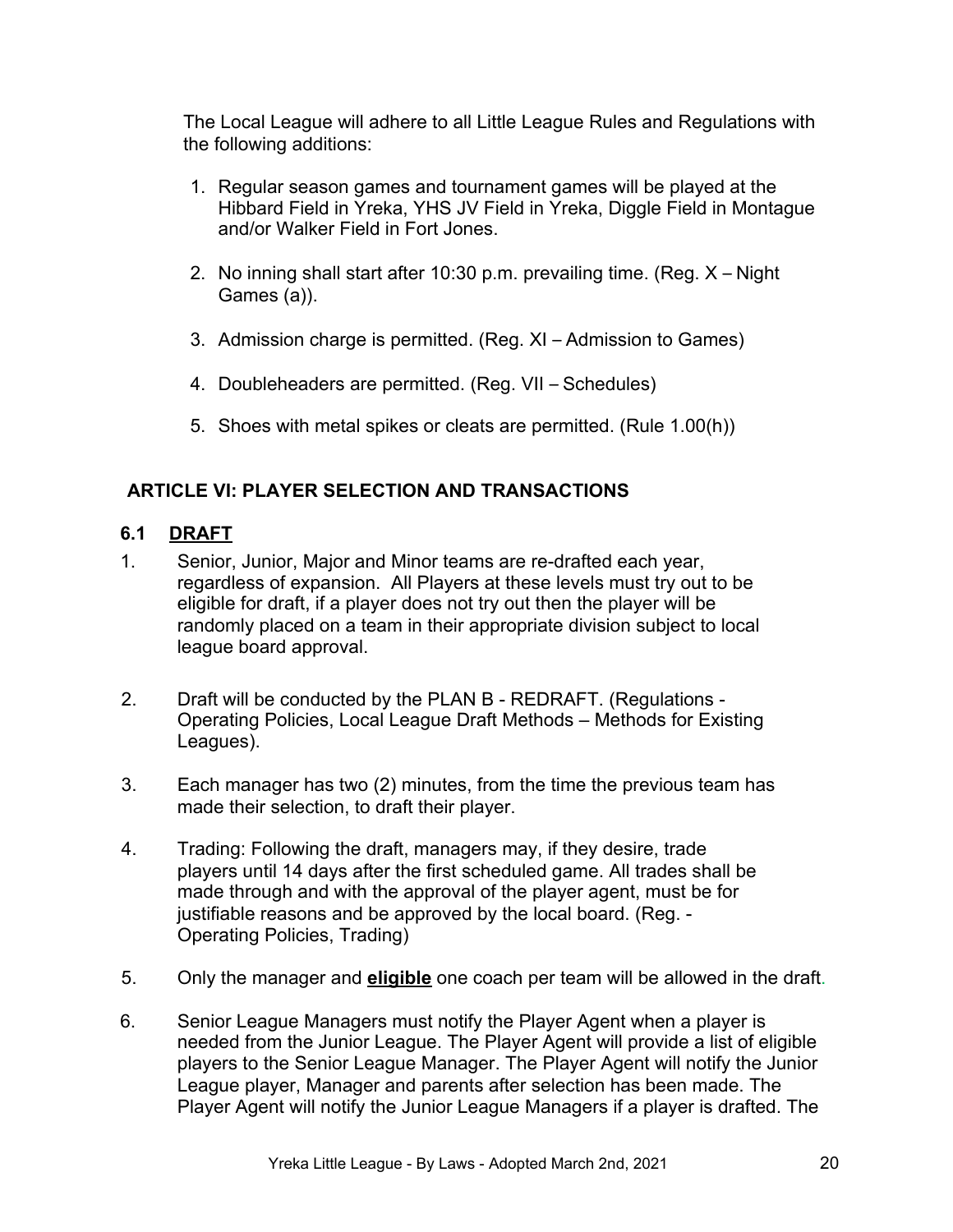The Local League will adhere to all Little League Rules and Regulations with the following additions:

- 1. Regular season games and tournament games will be played at the Hibbard Field in Yreka, YHS JV Field in Yreka, Diggle Field in Montague and/or Walker Field in Fort Jones.
- 2. No inning shall start after 10:30 p.m. prevailing time. (Reg. X Night Games (a)).
- 3. Admission charge is permitted. (Reg. XI Admission to Games)
- 4. Doubleheaders are permitted. (Reg. VII Schedules)
- 5. Shoes with metal spikes or cleats are permitted. (Rule 1.00(h))

# **ARTICLE VI: PLAYER SELECTION AND TRANSACTIONS**

# **6.1 DRAFT**

- 1. Senior, Junior, Major and Minor teams are re-drafted each year, regardless of expansion. All Players at these levels must try out to be eligible for draft, if a player does not try out then the player will be randomly placed on a team in their appropriate division subject to local league board approval.
- 2. Draft will be conducted by the PLAN B REDRAFT. (Regulations Operating Policies, Local League Draft Methods – Methods for Existing Leagues).
- 3. Each manager has two (2) minutes, from the time the previous team has made their selection, to draft their player.
- 4. Trading: Following the draft, managers may, if they desire, trade players until 14 days after the first scheduled game. All trades shall be made through and with the approval of the player agent, must be for justifiable reasons and be approved by the local board. (Reg. - Operating Policies, Trading)
- 5. Only the manager and **eligible** one coach per team will be allowed in the draft.
- 6. Senior League Managers must notify the Player Agent when a player is needed from the Junior League. The Player Agent will provide a list of eligible players to the Senior League Manager. The Player Agent will notify the Junior League player, Manager and parents after selection has been made. The Player Agent will notify the Junior League Managers if a player is drafted. The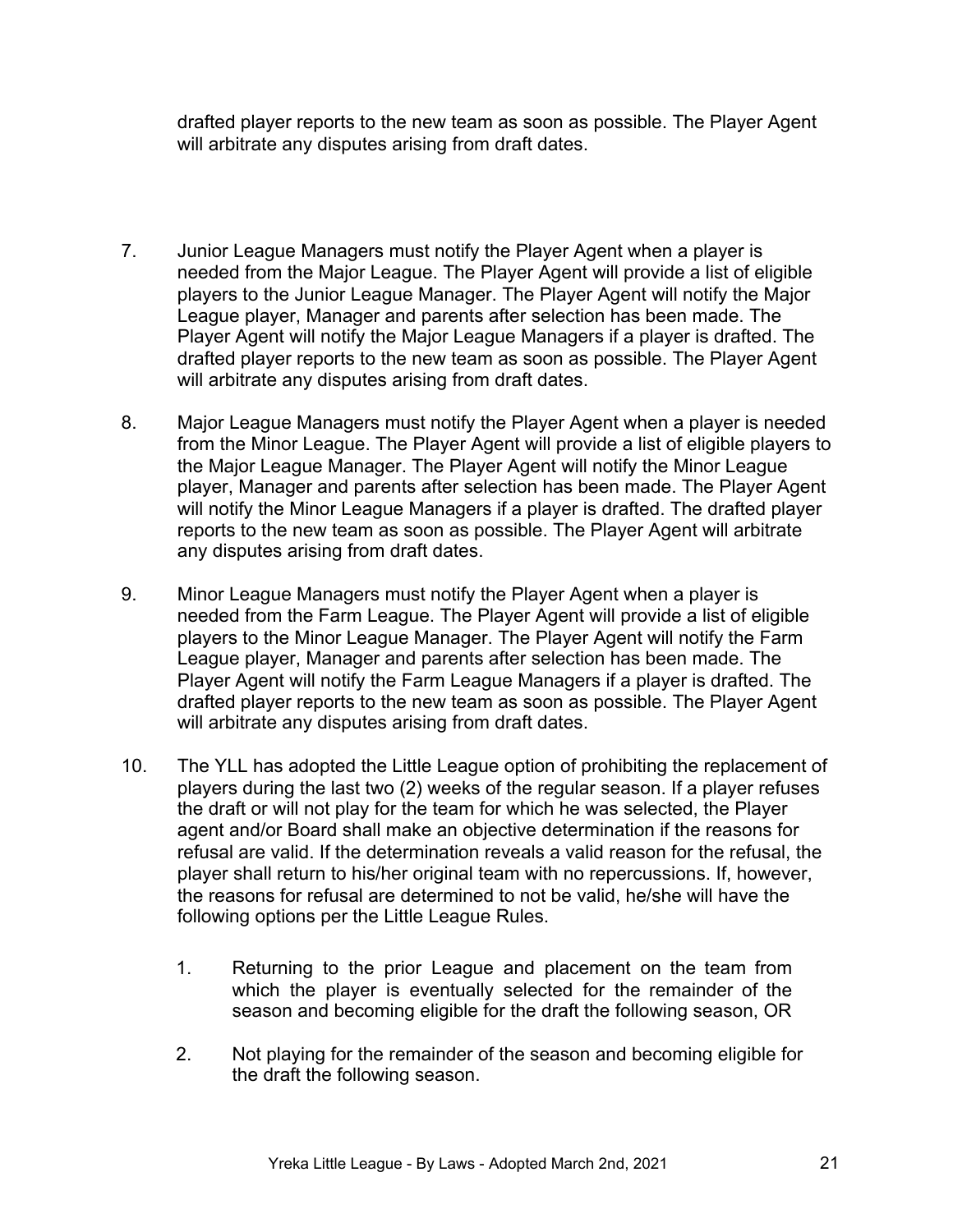drafted player reports to the new team as soon as possible. The Player Agent will arbitrate any disputes arising from draft dates.

- 7. Junior League Managers must notify the Player Agent when a player is needed from the Major League. The Player Agent will provide a list of eligible players to the Junior League Manager. The Player Agent will notify the Major League player, Manager and parents after selection has been made. The Player Agent will notify the Major League Managers if a player is drafted. The drafted player reports to the new team as soon as possible. The Player Agent will arbitrate any disputes arising from draft dates.
- 8. Major League Managers must notify the Player Agent when a player is needed from the Minor League. The Player Agent will provide a list of eligible players to the Major League Manager. The Player Agent will notify the Minor League player, Manager and parents after selection has been made. The Player Agent will notify the Minor League Managers if a player is drafted. The drafted player reports to the new team as soon as possible. The Player Agent will arbitrate any disputes arising from draft dates.
- 9. Minor League Managers must notify the Player Agent when a player is needed from the Farm League. The Player Agent will provide a list of eligible players to the Minor League Manager. The Player Agent will notify the Farm League player, Manager and parents after selection has been made. The Player Agent will notify the Farm League Managers if a player is drafted. The drafted player reports to the new team as soon as possible. The Player Agent will arbitrate any disputes arising from draft dates.
- 10. The YLL has adopted the Little League option of prohibiting the replacement of players during the last two (2) weeks of the regular season. If a player refuses the draft or will not play for the team for which he was selected, the Player agent and/or Board shall make an objective determination if the reasons for refusal are valid. If the determination reveals a valid reason for the refusal, the player shall return to his/her original team with no repercussions. If, however, the reasons for refusal are determined to not be valid, he/she will have the following options per the Little League Rules.
	- 1. Returning to the prior League and placement on the team from which the player is eventually selected for the remainder of the season and becoming eligible for the draft the following season, OR
	- 2. Not playing for the remainder of the season and becoming eligible for the draft the following season.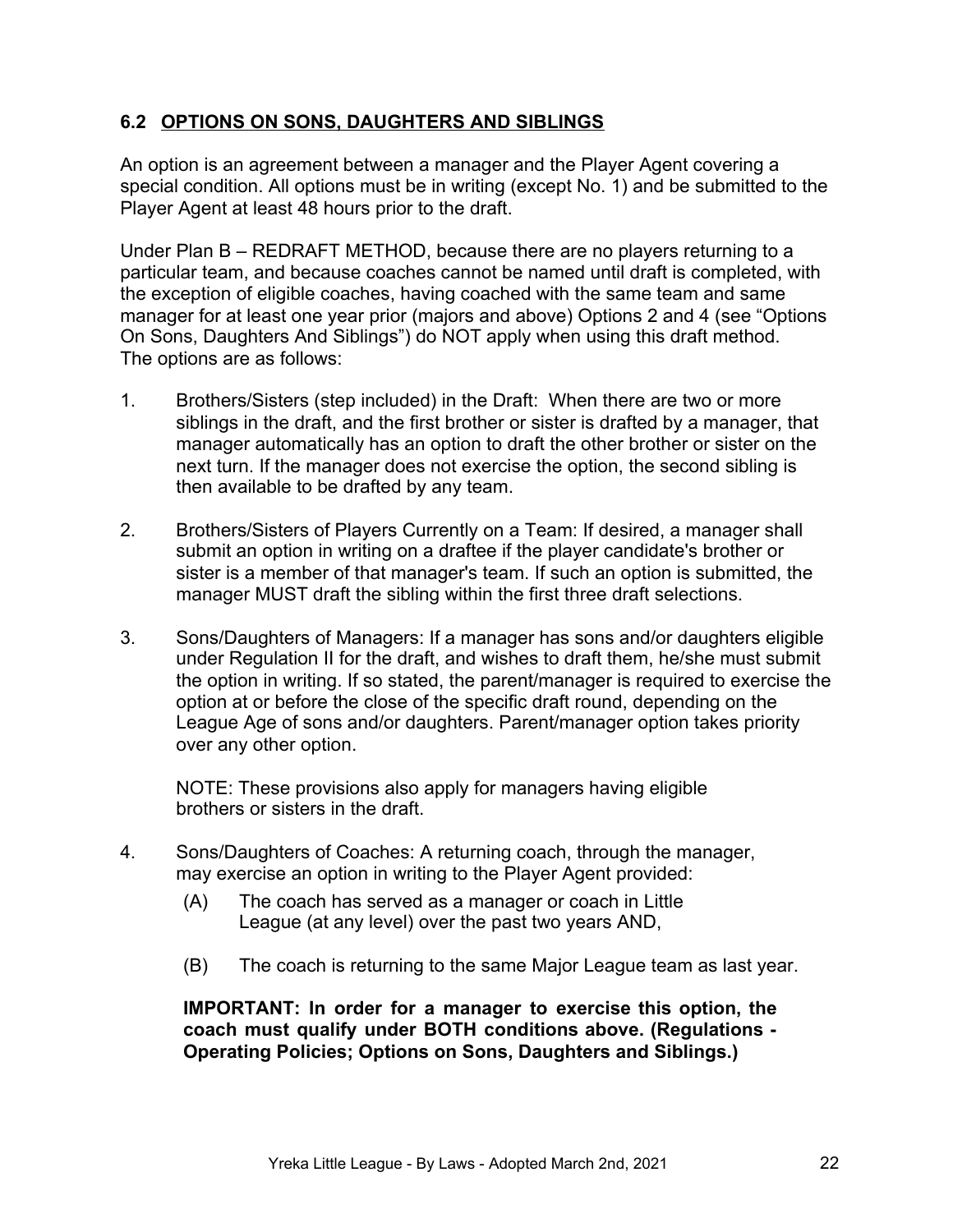# **6.2 OPTIONS ON SONS, DAUGHTERS AND SIBLINGS**

An option is an agreement between a manager and the Player Agent covering a special condition. All options must be in writing (except No. 1) and be submitted to the Player Agent at least 48 hours prior to the draft.

Under Plan B – REDRAFT METHOD, because there are no players returning to a particular team, and because coaches cannot be named until draft is completed, with the exception of eligible coaches, having coached with the same team and same manager for at least one year prior (majors and above) Options 2 and 4 (see "Options On Sons, Daughters And Siblings") do NOT apply when using this draft method. The options are as follows:

- 1. Brothers/Sisters (step included) in the Draft: When there are two or more siblings in the draft, and the first brother or sister is drafted by a manager, that manager automatically has an option to draft the other brother or sister on the next turn. If the manager does not exercise the option, the second sibling is then available to be drafted by any team.
- 2. Brothers/Sisters of Players Currently on a Team: If desired, a manager shall submit an option in writing on a draftee if the player candidate's brother or sister is a member of that manager's team. If such an option is submitted, the manager MUST draft the sibling within the first three draft selections.
- 3. Sons/Daughters of Managers: If a manager has sons and/or daughters eligible under Regulation II for the draft, and wishes to draft them, he/she must submit the option in writing. If so stated, the parent/manager is required to exercise the option at or before the close of the specific draft round, depending on the League Age of sons and/or daughters. Parent/manager option takes priority over any other option.

NOTE: These provisions also apply for managers having eligible brothers or sisters in the draft.

- 4. Sons/Daughters of Coaches: A returning coach, through the manager, may exercise an option in writing to the Player Agent provided:
	- (A) The coach has served as a manager or coach in Little League (at any level) over the past two years AND,
	- (B) The coach is returning to the same Major League team as last year.

**IMPORTANT: In order for a manager to exercise this option, the coach must qualify under BOTH conditions above. (Regulations - Operating Policies; Options on Sons, Daughters and Siblings.)**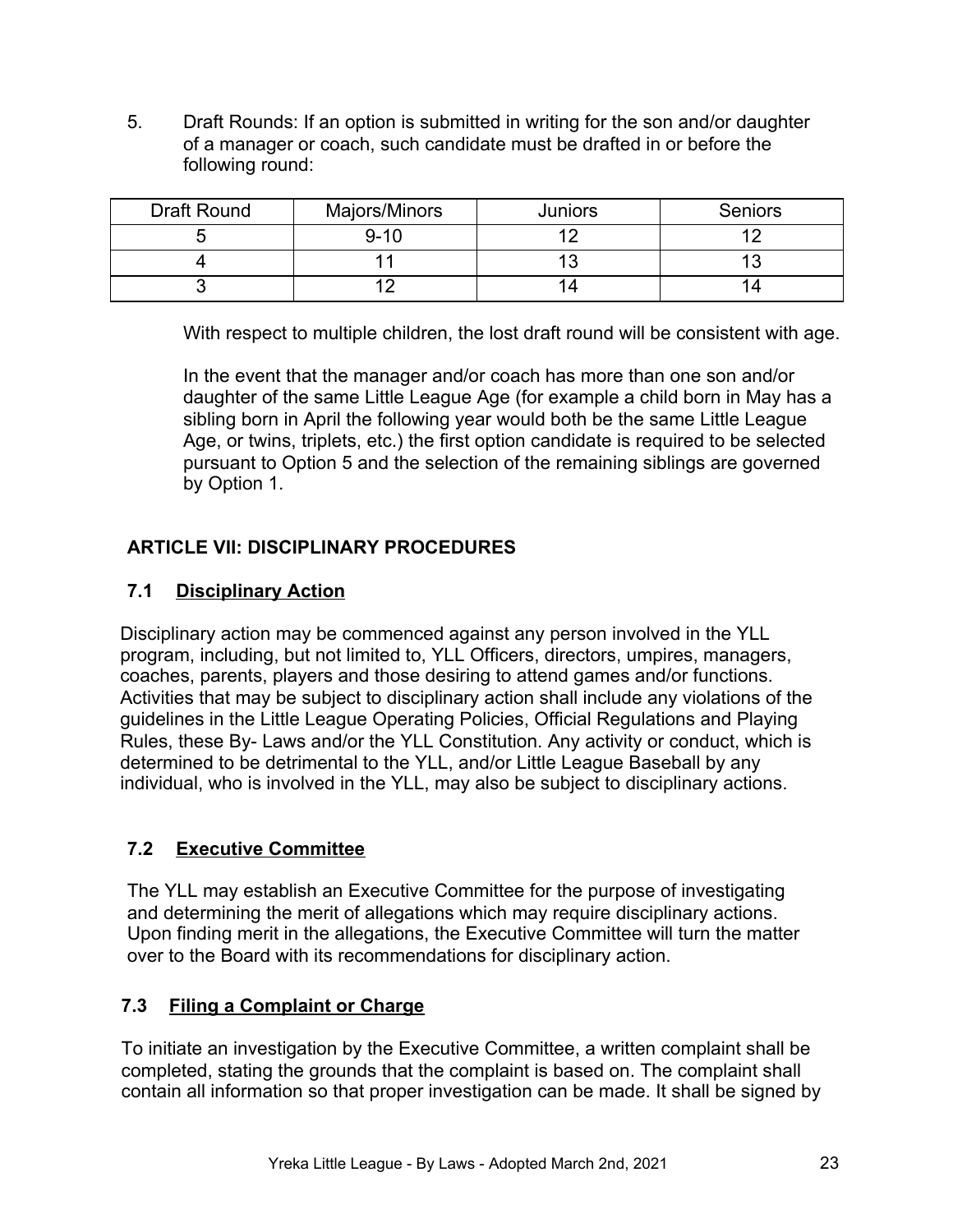5. Draft Rounds: If an option is submitted in writing for the son and/or daughter of a manager or coach, such candidate must be drafted in or before the following round:

| <b>Draft Round</b> | Majors/Minors | Juniors        | <b>Seniors</b> |
|--------------------|---------------|----------------|----------------|
|                    | $9 - 10$      | $\overline{1}$ |                |
|                    |               | 4 0            |                |
|                    |               |                |                |

With respect to multiple children, the lost draft round will be consistent with age.

In the event that the manager and/or coach has more than one son and/or daughter of the same Little League Age (for example a child born in May has a sibling born in April the following year would both be the same Little League Age, or twins, triplets, etc.) the first option candidate is required to be selected pursuant to Option 5 and the selection of the remaining siblings are governed by Option 1.

# **ARTICLE VII: DISCIPLINARY PROCEDURES**

# **7.1 Disciplinary Action**

Disciplinary action may be commenced against any person involved in the YLL program, including, but not limited to, YLL Officers, directors, umpires, managers, coaches, parents, players and those desiring to attend games and/or functions. Activities that may be subject to disciplinary action shall include any violations of the guidelines in the Little League Operating Policies, Official Regulations and Playing Rules, these By- Laws and/or the YLL Constitution. Any activity or conduct, which is determined to be detrimental to the YLL, and/or Little League Baseball by any individual, who is involved in the YLL, may also be subject to disciplinary actions.

# **7.2 Executive Committee**

The YLL may establish an Executive Committee for the purpose of investigating and determining the merit of allegations which may require disciplinary actions. Upon finding merit in the allegations, the Executive Committee will turn the matter over to the Board with its recommendations for disciplinary action.

# **7.3 Filing a Complaint or Charge**

To initiate an investigation by the Executive Committee, a written complaint shall be completed, stating the grounds that the complaint is based on. The complaint shall contain all information so that proper investigation can be made. It shall be signed by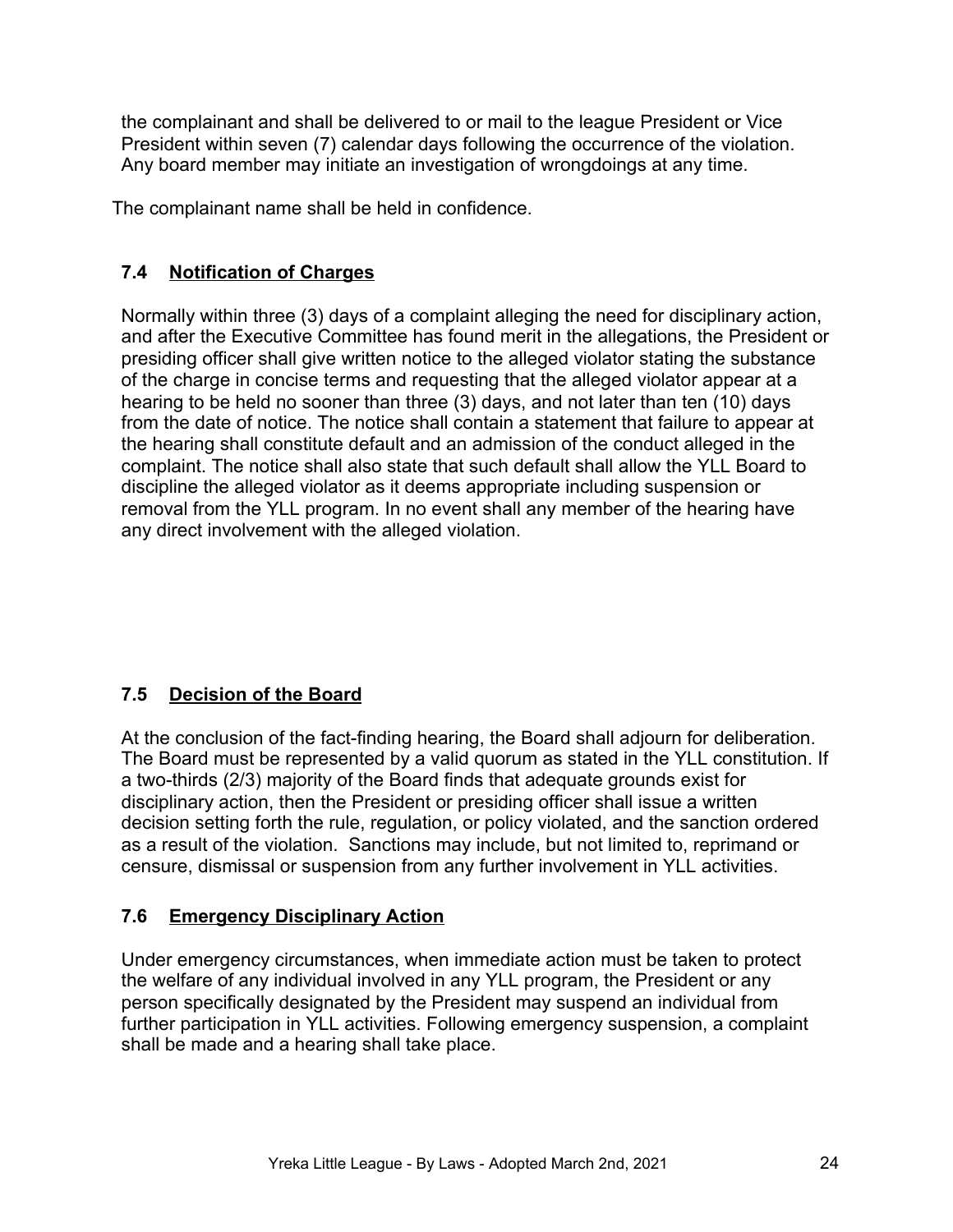the complainant and shall be delivered to or mail to the league President or Vice President within seven (7) calendar days following the occurrence of the violation. Any board member may initiate an investigation of wrongdoings at any time.

The complainant name shall be held in confidence.

# **7.4 Notification of Charges**

Normally within three (3) days of a complaint alleging the need for disciplinary action, and after the Executive Committee has found merit in the allegations, the President or presiding officer shall give written notice to the alleged violator stating the substance of the charge in concise terms and requesting that the alleged violator appear at a hearing to be held no sooner than three (3) days, and not later than ten (10) days from the date of notice. The notice shall contain a statement that failure to appear at the hearing shall constitute default and an admission of the conduct alleged in the complaint. The notice shall also state that such default shall allow the YLL Board to discipline the alleged violator as it deems appropriate including suspension or removal from the YLL program. In no event shall any member of the hearing have any direct involvement with the alleged violation.

# **7.5 Decision of the Board**

At the conclusion of the fact-finding hearing, the Board shall adjourn for deliberation. The Board must be represented by a valid quorum as stated in the YLL constitution. If a two-thirds (2/3) majority of the Board finds that adequate grounds exist for disciplinary action, then the President or presiding officer shall issue a written decision setting forth the rule, regulation, or policy violated, and the sanction ordered as a result of the violation. Sanctions may include, but not limited to, reprimand or censure, dismissal or suspension from any further involvement in YLL activities.

# **7.6 Emergency Disciplinary Action**

Under emergency circumstances, when immediate action must be taken to protect the welfare of any individual involved in any YLL program, the President or any person specifically designated by the President may suspend an individual from further participation in YLL activities. Following emergency suspension, a complaint shall be made and a hearing shall take place.